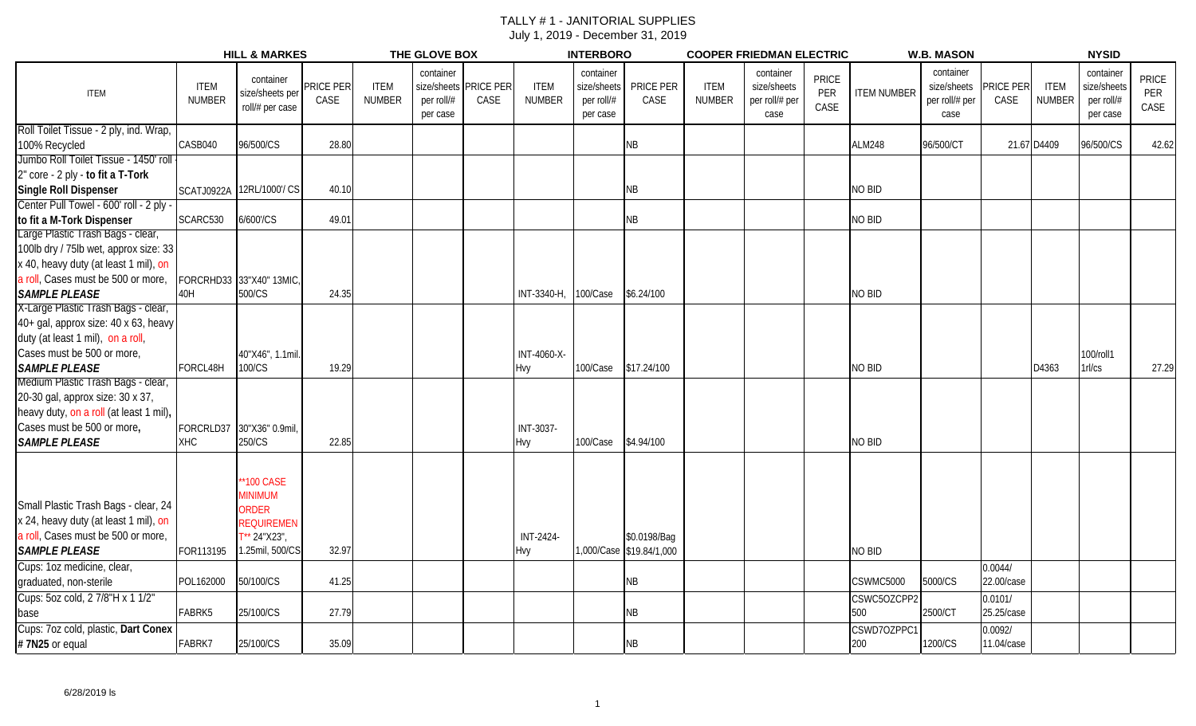|                                         |                              | <b>HILL &amp; MARKES</b>                        |                   |                              | THE GLOVE BOX                       |                               |                              | <b>INTERBORO</b>                                   |                          |                              | <b>COOPER FRIEDMAN ELECTRIC</b>                    |                             |                    | <b>W.B. MASON</b>                                  |                   |                              | <b>NYSID</b>                                       |                      |
|-----------------------------------------|------------------------------|-------------------------------------------------|-------------------|------------------------------|-------------------------------------|-------------------------------|------------------------------|----------------------------------------------------|--------------------------|------------------------------|----------------------------------------------------|-----------------------------|--------------------|----------------------------------------------------|-------------------|------------------------------|----------------------------------------------------|----------------------|
| <b>ITEM</b>                             | <b>ITEM</b><br><b>NUMBER</b> | container<br>size/sheets per<br>roll/# per case | PRICE PER<br>CASE | <b>ITEM</b><br><b>NUMBER</b> | container<br>per roll/#<br>per case | size/sheets PRICE PER<br>CASE | <b>ITEM</b><br><b>NUMBER</b> | container<br>size/sheets<br>per roll/#<br>per case | PRICE PER<br>CASE        | <b>ITEM</b><br><b>NUMBER</b> | container<br>size/sheets<br>per roll/# per<br>case | <b>PRICE</b><br>PER<br>CASE | <b>ITEM NUMBER</b> | container<br>size/sheets<br>per roll/# per<br>case | PRICE PER<br>CASE | <b>ITEM</b><br><b>NUMBER</b> | container<br>size/sheets<br>per roll/#<br>per case | PRICE<br>PER<br>CASE |
| Roll Toilet Tissue - 2 ply, ind. Wrap,  |                              |                                                 |                   |                              |                                     |                               |                              |                                                    |                          |                              |                                                    |                             |                    |                                                    |                   |                              |                                                    |                      |
| 100% Recycled                           | CASB040                      | 96/500/CS                                       | 28.80             |                              |                                     |                               |                              |                                                    | ΝB                       |                              |                                                    |                             | <b>ALM248</b>      | 96/500/CT                                          |                   | 21.67 D4409                  | 96/500/CS                                          | 42.62                |
| Jumbo Roll Toilet Tissue - 1450' roll   |                              |                                                 |                   |                              |                                     |                               |                              |                                                    |                          |                              |                                                    |                             |                    |                                                    |                   |                              |                                                    |                      |
| 2" core - 2 ply - to fit a T-Tork       |                              |                                                 |                   |                              |                                     |                               |                              |                                                    |                          |                              |                                                    |                             |                    |                                                    |                   |                              |                                                    |                      |
| Single Roll Dispenser                   |                              | SCATJ0922A 12RL/1000'/ CS                       | 40.10             |                              |                                     |                               |                              |                                                    | ΝB                       |                              |                                                    |                             | NO BID             |                                                    |                   |                              |                                                    |                      |
| Center Pull Towel - 600' roll - 2 ply - |                              |                                                 |                   |                              |                                     |                               |                              |                                                    |                          |                              |                                                    |                             |                    |                                                    |                   |                              |                                                    |                      |
| to fit a M-Tork Dispenser               | SCARC530                     | 6/600'/CS                                       | 49.01             |                              |                                     |                               |                              |                                                    | ΝB                       |                              |                                                    |                             | <b>NO BID</b>      |                                                    |                   |                              |                                                    |                      |
| Large Plastic Trash Bags - clear,       |                              |                                                 |                   |                              |                                     |                               |                              |                                                    |                          |                              |                                                    |                             |                    |                                                    |                   |                              |                                                    |                      |
| 100lb dry / 75lb wet, approx size: 33   |                              |                                                 |                   |                              |                                     |                               |                              |                                                    |                          |                              |                                                    |                             |                    |                                                    |                   |                              |                                                    |                      |
| x 40, heavy duty (at least 1 mil), on   |                              |                                                 |                   |                              |                                     |                               |                              |                                                    |                          |                              |                                                    |                             |                    |                                                    |                   |                              |                                                    |                      |
| a roll, Cases must be 500 or more,      |                              | FORCRHD33 33"X40" 13MIC,                        |                   |                              |                                     |                               |                              |                                                    |                          |                              |                                                    |                             |                    |                                                    |                   |                              |                                                    |                      |
| <b>SAMPLE PLEASE</b>                    | 40H                          | 500/CS                                          | 24.35             |                              |                                     |                               | INT-3340-H,                  | 100/Case                                           | \$6.24/100               |                              |                                                    |                             | <b>NO BID</b>      |                                                    |                   |                              |                                                    |                      |
| X-Large Plastic Trash Bags - clear,     |                              |                                                 |                   |                              |                                     |                               |                              |                                                    |                          |                              |                                                    |                             |                    |                                                    |                   |                              |                                                    |                      |
| 40+ gal, approx size: 40 x 63, heavy    |                              |                                                 |                   |                              |                                     |                               |                              |                                                    |                          |                              |                                                    |                             |                    |                                                    |                   |                              |                                                    |                      |
| duty (at least 1 mil), on a roll,       |                              |                                                 |                   |                              |                                     |                               |                              |                                                    |                          |                              |                                                    |                             |                    |                                                    |                   |                              |                                                    |                      |
| Cases must be 500 or more,              |                              | 40"X46", 1.1mil.                                |                   |                              |                                     |                               | INT-4060-X-                  |                                                    |                          |                              |                                                    |                             |                    |                                                    |                   |                              | 100/roll1                                          |                      |
| <b>SAMPLE PLEASE</b>                    | FORCL48H                     | 100/CS                                          | 19.29             |                              |                                     |                               | Hvy                          | 100/Case                                           | \$17.24/100              |                              |                                                    |                             | <b>NO BID</b>      |                                                    |                   | D4363                        | 1rl/cs                                             | 27.29                |
| Medium Plastic Trash Bags - clear,      |                              |                                                 |                   |                              |                                     |                               |                              |                                                    |                          |                              |                                                    |                             |                    |                                                    |                   |                              |                                                    |                      |
| 20-30 gal, approx size: 30 x 37,        |                              |                                                 |                   |                              |                                     |                               |                              |                                                    |                          |                              |                                                    |                             |                    |                                                    |                   |                              |                                                    |                      |
| heavy duty, on a roll (at least 1 mil), |                              |                                                 |                   |                              |                                     |                               |                              |                                                    |                          |                              |                                                    |                             |                    |                                                    |                   |                              |                                                    |                      |
| Cases must be 500 or more,              |                              | FORCRLD37 30"X36" 0.9mil,                       |                   |                              |                                     |                               | INT-3037-                    |                                                    |                          |                              |                                                    |                             |                    |                                                    |                   |                              |                                                    |                      |
| <b>SAMPLE PLEASE</b>                    | <b>XHC</b>                   | 250/CS                                          | 22.85             |                              |                                     |                               | <b>Hvy</b>                   | 100/Case                                           | \$4.94/100               |                              |                                                    |                             | <b>NO BID</b>      |                                                    |                   |                              |                                                    |                      |
|                                         |                              | <b>100 CASE</b><br><b>MINIMUM</b>               |                   |                              |                                     |                               |                              |                                                    |                          |                              |                                                    |                             |                    |                                                    |                   |                              |                                                    |                      |
| Small Plastic Trash Bags - clear, 24    |                              | ORDER                                           |                   |                              |                                     |                               |                              |                                                    |                          |                              |                                                    |                             |                    |                                                    |                   |                              |                                                    |                      |
| x 24, heavy duty (at least 1 mil), on   |                              | REQUIREMEN                                      |                   |                              |                                     |                               |                              |                                                    |                          |                              |                                                    |                             |                    |                                                    |                   |                              |                                                    |                      |
| a roll, Cases must be 500 or more,      |                              | ** 24"X23",                                     |                   |                              |                                     |                               | INT-2424-                    |                                                    | \$0.0198/Bag             |                              |                                                    |                             |                    |                                                    |                   |                              |                                                    |                      |
| <b>SAMPLE PLEASE</b>                    | FOR113195                    | 1.25mil, 500/CS                                 | 32.97             |                              |                                     |                               | Hvy                          |                                                    | 1,000/Case \$19.84/1,000 |                              |                                                    |                             | <b>NO BID</b>      |                                                    |                   |                              |                                                    |                      |
| Cups: 1oz medicine, clear,              |                              |                                                 |                   |                              |                                     |                               |                              |                                                    |                          |                              |                                                    |                             |                    |                                                    | 0.0044/           |                              |                                                    |                      |
| graduated, non-sterile                  | POL162000                    | 50/100/CS                                       | 41.25             |                              |                                     |                               |                              |                                                    | NΒ                       |                              |                                                    |                             | CSWMC5000          | 5000/CS                                            | 22.00/case        |                              |                                                    |                      |
| Cups: 5oz cold, 2 7/8"H x 1 1/2"        |                              |                                                 |                   |                              |                                     |                               |                              |                                                    |                          |                              |                                                    |                             | CSWC5OZCPP2        |                                                    | 0.0101/           |                              |                                                    |                      |
| base                                    | FABRK5                       | 25/100/CS                                       | 27.79             |                              |                                     |                               |                              |                                                    | <b>NB</b>                |                              |                                                    |                             | 500                | 2500/CT                                            | 25.25/case        |                              |                                                    |                      |
| Cups: 7oz cold, plastic, Dart Conex     |                              |                                                 |                   |                              |                                     |                               |                              |                                                    |                          |                              |                                                    |                             | CSWD7OZPPC1        |                                                    | 0.0092/           |                              |                                                    |                      |
| #7N25 or equal                          | FABRK7                       | 25/100/CS                                       | 35.09             |                              |                                     |                               |                              |                                                    | <b>NB</b>                |                              |                                                    |                             | 200                | 1200/CS                                            | 11.04/case        |                              |                                                    |                      |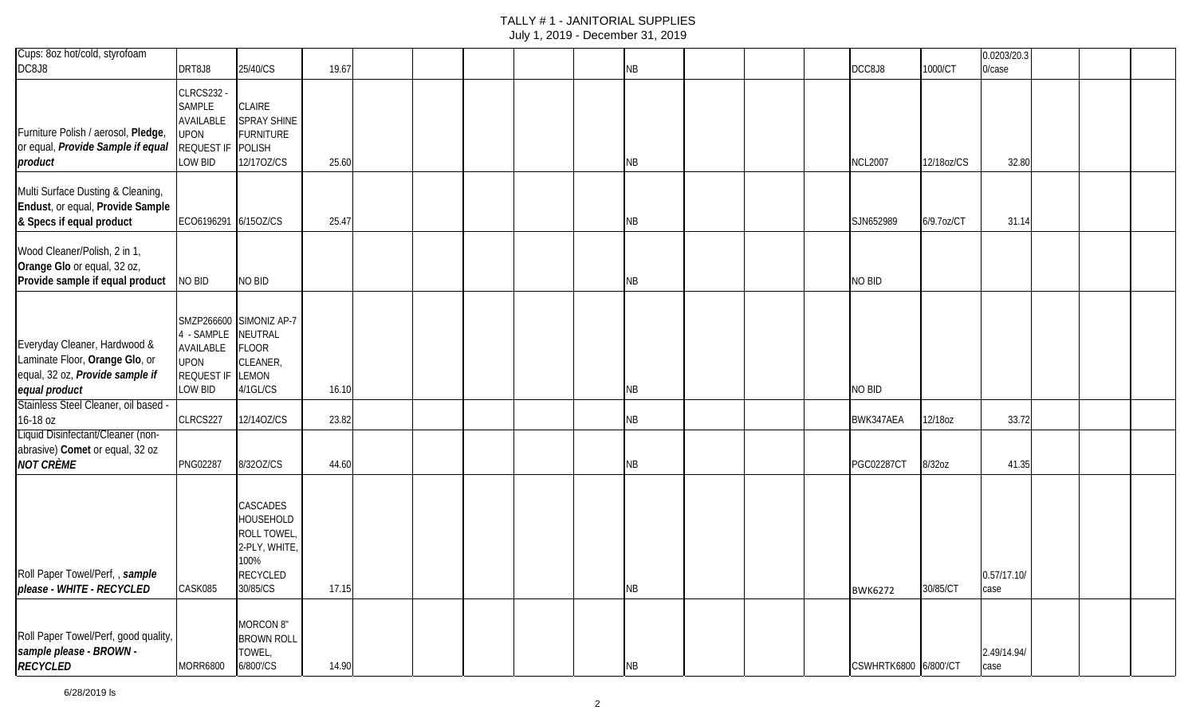| Cups: 8oz hot/cold, styrofoam                                                                                      |                                                                                  |                                                                                                          |       |  |  |           |  |                       |            | 0.0203/20.3         |  |  |
|--------------------------------------------------------------------------------------------------------------------|----------------------------------------------------------------------------------|----------------------------------------------------------------------------------------------------------|-------|--|--|-----------|--|-----------------------|------------|---------------------|--|--|
| DC8J8                                                                                                              | DRT8J8                                                                           | 25/40/CS                                                                                                 | 19.67 |  |  | NB        |  | DCC8J8                | 1000/CT    | $0/c$ ase           |  |  |
| Furniture Polish / aerosol, Pledge,<br>or equal, Provide Sample if equal<br>product                                | <b>CLRCS232 -</b><br>SAMPLE<br>AVAILABLE<br><b>UPON</b><br>REQUEST IF<br>LOW BID | CLAIRE<br>SPRAY SHINE<br><b>FURNITURE</b><br><b>POLISH</b><br>12/170Z/CS                                 | 25.60 |  |  | NB        |  | <b>NCL2007</b>        | 12/18oz/CS | 32.80               |  |  |
| Multi Surface Dusting & Cleaning,<br>Endust, or equal, Provide Sample<br>& Specs if equal product                  | EC06196291 6/15OZ/CS                                                             |                                                                                                          | 25.47 |  |  | <b>NB</b> |  | SJN652989             | 6/9.7oz/CT | 31.14               |  |  |
| Wood Cleaner/Polish, 2 in 1,<br>Orange Glo or equal, 32 oz,<br>Provide sample if equal product                     | NO BID                                                                           | NO BID                                                                                                   |       |  |  | NB        |  | NO BID                |            |                     |  |  |
| Everyday Cleaner, Hardwood &<br>Laminate Floor, Orange Glo, or<br>equal, 32 oz, Provide sample if<br>equal product | 4 - SAMPLE<br>AVAILABLE<br><b>UPON</b><br>REQUEST IF<br>LOW BID                  | SMZP266600 SIMONIZ AP-7<br>NEUTRAL<br><b>FLOOR</b><br>CLEANER,<br>LEMON<br>4/1GL/CS                      | 16.10 |  |  | NB        |  | NO BID                |            |                     |  |  |
| Stainless Steel Cleaner, oil based -<br>16-18 oz                                                                   | CLRCS227                                                                         | 12/14OZ/CS                                                                                               | 23.82 |  |  | <b>NB</b> |  | BWK347AEA             | 12/18oz    | 33.72               |  |  |
| Liquid Disinfectant/Cleaner (non-<br>abrasive) Comet or equal, 32 oz<br><b>NOT CRÈME</b>                           | PNG02287                                                                         | 8/320Z/CS                                                                                                | 44.60 |  |  | NB        |  | <b>PGC02287CT</b>     | 8/32oz     | 41.35               |  |  |
| Roll Paper Towel/Perf,, sample<br>please - WHITE - RECYCLED                                                        | CASK085                                                                          | CASCADES<br><b>HOUSEHOLD</b><br><b>ROLL TOWEL</b><br>2-PLY, WHITE<br>100%<br><b>RECYCLED</b><br>30/85/CS | 17.15 |  |  | NB        |  | <b>BWK6272</b>        | 30/85/CT   | 0.57/17.10/<br>case |  |  |
| Roll Paper Towel/Perf, good quality,<br>sample please - BROWN -<br><b>RECYCLED</b>                                 | <b>MORR6800</b>                                                                  | <b>MORCON 8"</b><br><b>BROWN ROLL</b><br>TOWEL,<br>6/800'/CS                                             | 14.90 |  |  | NB        |  | CSWHRTK6800 6/800'/CT |            | 2.49/14.94/<br>case |  |  |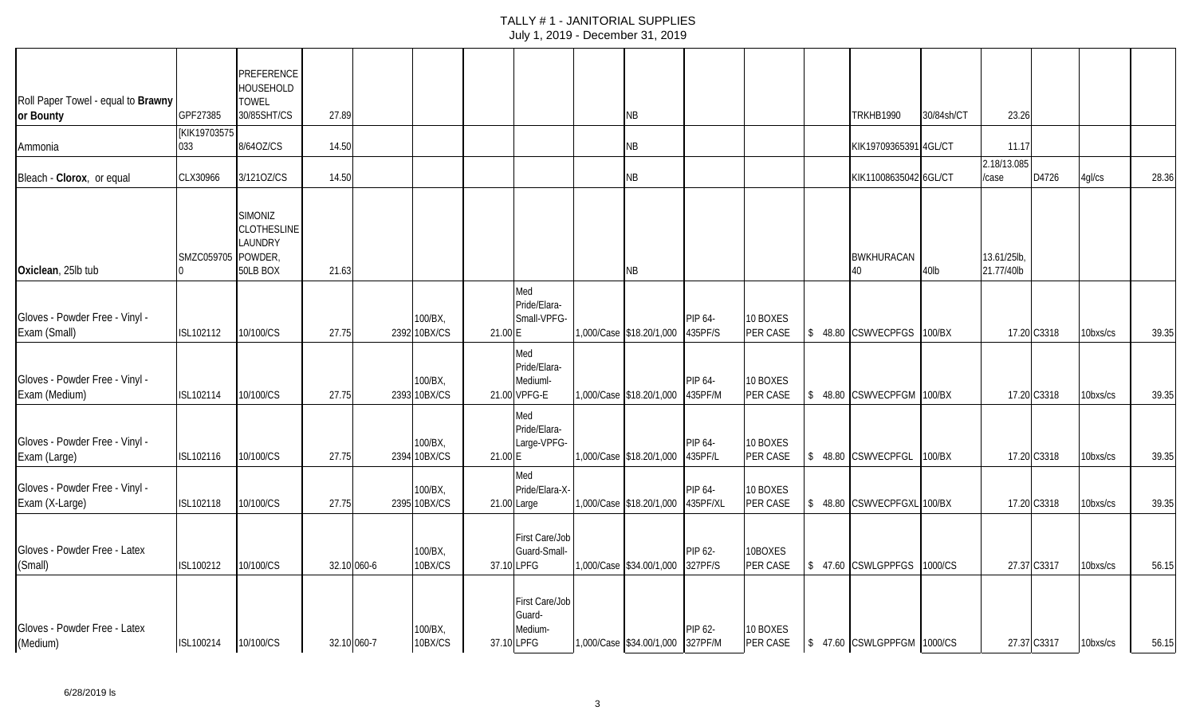| Roll Paper Towel - equal to Brawny               |                          | PREFERENCE<br>HOUSEHOLD<br><b>TOWEL</b>                     |       |             |                         |         |                                                   |                                  |                     |                      |         |                             |            |                          |             |          |       |
|--------------------------------------------------|--------------------------|-------------------------------------------------------------|-------|-------------|-------------------------|---------|---------------------------------------------------|----------------------------------|---------------------|----------------------|---------|-----------------------------|------------|--------------------------|-------------|----------|-------|
| or Bounty                                        | GPF27385<br>[KIK19703575 | 30/85SHT/CS                                                 | 27.89 |             |                         |         |                                                   | ΝB                               |                     |                      |         | <b>TRKHB1990</b>            | 30/84sh/CT | 23.26                    |             |          |       |
| Ammonia                                          | 033                      | 8/64OZ/CS                                                   | 14.50 |             |                         |         |                                                   | ΝB                               |                     |                      |         | KIK19709365391 4GL/CT       |            | 11.17                    |             |          |       |
|                                                  |                          |                                                             |       |             |                         |         |                                                   |                                  |                     |                      |         |                             |            | 2.18/13.085              |             |          |       |
| Bleach - Clorox, or equal                        | CLX30966                 | 3/1210Z/CS                                                  | 14.50 |             |                         |         |                                                   | ΝB                               |                     |                      |         | KIK11008635042 6GL/CT       |            | /case                    | D4726       | 4gl/cs   | 28.36 |
| Oxiclean, 25lb tub                               | SMZC059705 POWDER,       | <b>SIMONIZ</b><br><b>CLOTHESLINE</b><br>LAUNDRY<br>50LB BOX | 21.63 |             |                         |         |                                                   | NB                               |                     |                      |         | <b>BWKHURACAN</b><br>40     | 40lb       | 13.61/25lb<br>21.77/40lb |             |          |       |
| Gloves - Powder Free - Vinyl -<br>Exam (Small)   | ISL102112                | 10/100/CS                                                   | 27.75 |             | 100/BX,<br>2392 10BX/CS | 21.00 E | Med<br>Pride/Elara-<br>Small-VPFG-                | 1,000/Case \$18.20/1,000         | PIP 64-<br>435PF/S  | 10 BOXES<br>PER CASE |         | \$ 48.80 CSWVECPFGS         | 100/BX     |                          | 17.20 C3318 | 10bxs/cs | 39.35 |
| Gloves - Powder Free - Vinyl -<br>Exam (Medium)  | ISL102114                | 10/100/CS                                                   | 27.75 |             | 100/BX,<br>2393 10BX/CS |         | Med<br>Pride/Elara-<br>Mediuml-<br>21.00 VPFG-E   | 1,000/Case \$18.20/1,000         | PIP 64-<br>435PF/M  | 10 BOXES<br>PER CASE |         | \$48.80 CSWVECPFGM          | 100/BX     |                          | 17.20 C3318 | 10bxs/cs | 39.35 |
| Gloves - Powder Free - Vinyl -<br>Exam (Large)   | ISL102116                | 10/100/CS                                                   | 27.75 |             | 100/BX.<br>2394 10BX/CS | 21.00 E | Med<br>Pride/Elara-<br>Large-VPFG-                | 1,000/Case \$18.20/1,000         | PIP 64-<br>435PF/L  | 10 BOXES<br>PER CASE |         | \$ 48.80 CSWVECPFGL         | 100/BX     |                          | 17.20 C3318 | 10bxs/cs | 39.35 |
| Gloves - Powder Free - Vinyl -<br>Exam (X-Large) | ISL102118                | 10/100/CS                                                   | 27.75 |             | 100/BX,<br>2395 10BX/CS |         | Med<br>Pride/Elara-X-<br>21.00 Large              | 1,000/Case \$18.20/1,000         | PIP 64-<br>435PF/XL | 10 BOXES<br>PER CASE |         | \$ 48.80 CSWVECPFGXL 100/BX |            |                          | 17.20 C3318 | 10bxs/cs | 39.35 |
| Gloves - Powder Free - Latex<br>(Small)          | ISL100212                | 10/100/CS                                                   |       | 32.10 060-6 | 100/BX,<br>10BX/CS      |         | First Care/Job<br>Guard-Small-<br>37.10 LPFG      | 1,000/Case \$34.00/1,000         | PIP 62-<br>327PF/S  | 10BOXES<br>PER CASE  | \$47.60 | <b>CSWLGPPFGS</b>           | 1000/CS    |                          | 27.37 C3317 | 10bxs/cs | 56.15 |
| Gloves - Powder Free - Latex<br>(Medium)         | ISL100214                | 10/100/CS                                                   |       | 32.10 060-7 | 100/BX,<br>10BX/CS      |         | First Care/Job<br>Guard-<br>Medium-<br>37.10 LPFG | 1,000/Case \$34.00/1,000 327PF/M | PIP 62-             | 10 BOXES<br>PER CASE |         | \$ 47.60 CSWLGPPFGM 1000/CS |            |                          | 27.37 C3317 | 10bxs/cs | 56.15 |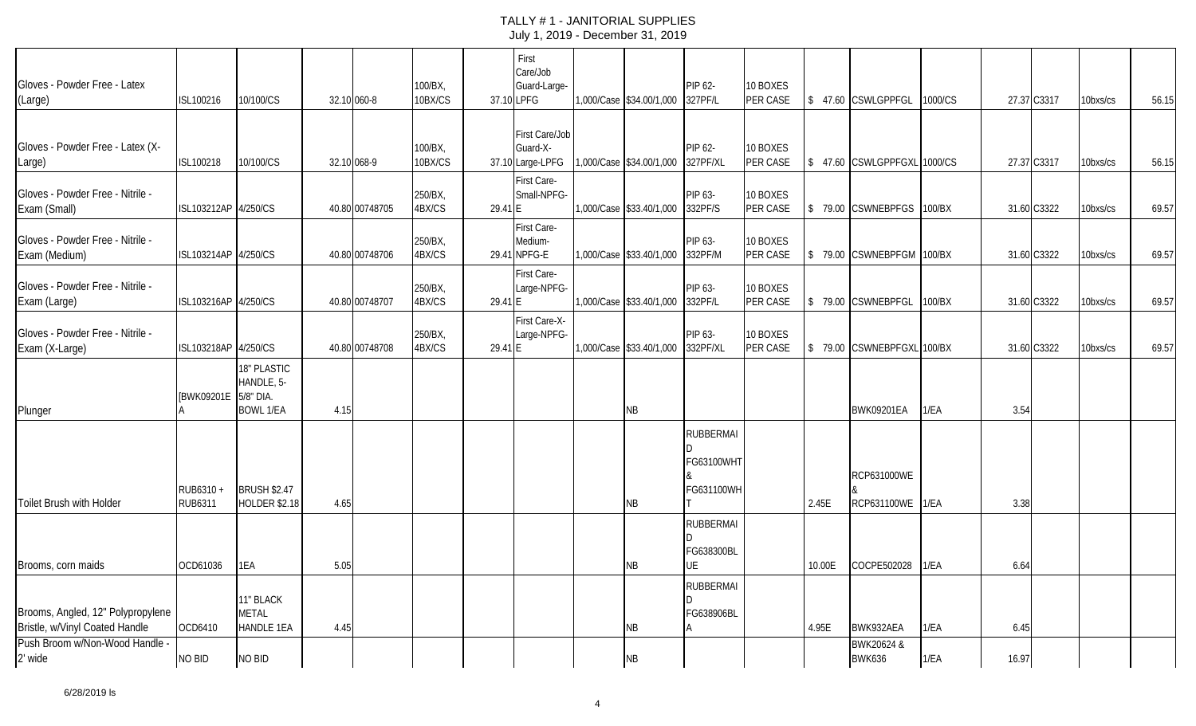| Gloves - Powder Free - Latex<br>(Large)                             | ISL100216                   | 10/100/CS                                      |      | 32.10 060-8    | 100/BX,<br>10BX/CS |         | First<br>Care/Job<br>Guard-Large-<br>37.10 LPFG | 1,000/Case \$34.00/1,000 | PIP 62-<br>327PF/L                           | 10 BOXES<br>PER CASE |        | \$ 47.60 CSWLGPPFGL             | 1000/CS |       | 27.37 C3317 | 10bxs/cs | 56.15 |
|---------------------------------------------------------------------|-----------------------------|------------------------------------------------|------|----------------|--------------------|---------|-------------------------------------------------|--------------------------|----------------------------------------------|----------------------|--------|---------------------------------|---------|-------|-------------|----------|-------|
| Gloves - Powder Free - Latex (X-<br>Large)                          | ISL100218                   | 10/100/CS                                      |      | 32.10 068-9    | 100/BX,<br>10BX/CS |         | First Care/Job<br>Guard-X-<br>37.10 Large-LPFG  | 1,000/Case \$34.00/1,000 | PIP 62-<br>327PF/XL                          | 10 BOXES<br>PER CASE |        | \$ 47.60 CSWLGPPFGXL 1000/CS    |         |       | 27.37 C3317 | 10bxs/cs | 56.15 |
| Gloves - Powder Free - Nitrile -<br>Exam (Small)                    | ISL103212AP 4/250/CS        |                                                |      | 40.80 00748705 | 250/BX,<br>4BX/CS  | 29.41 E | First Care-<br>Small-NPFG-                      | 1,000/Case \$33.40/1,000 | PIP 63-<br>332PF/S                           | 10 BOXES<br>PER CASE |        | \$ 79.00 CSWNEBPFGS             | 100/BX  |       | 31.60 C3322 | 10bxs/cs | 69.57 |
| Gloves - Powder Free - Nitrile -<br>Exam (Medium)                   | ISL103214AP 4/250/CS        |                                                |      | 40.80 00748706 | 250/BX,<br>4BX/CS  |         | First Care-<br>Medium-<br>29.41 NPFG-E          | 1,000/Case \$33.40/1,000 | PIP 63-<br>332PF/M                           | 10 BOXES<br>PER CASE |        | \$ 79.00 CSWNEBPFGM 100/BX      |         |       | 31.60 C3322 | 10bxs/cs | 69.57 |
| Gloves - Powder Free - Nitrile -<br>Exam (Large)                    | ISL103216AP 4/250/CS        |                                                |      | 40.80 00748707 | 250/BX,<br>4BX/CS  | 29.41 E | First Care-<br>Large-NPFG-                      | 1,000/Case \$33.40/1,000 | PIP 63-<br>332PF/L                           | 10 BOXES<br>PER CASE |        | \$ 79.00 CSWNEBPFGL             | 100/BX  |       | 31.60 C3322 | 10bxs/cs | 69.57 |
| Gloves - Powder Free - Nitrile -<br>Exam (X-Large)                  | ISL103218AP 4/250/CS        |                                                |      | 40.80 00748708 | 250/BX,<br>4BX/CS  | 29.41 E | First Care-X-<br>Large-NPFG-                    | 1,000/Case \$33.40/1,000 | PIP 63-<br>332PF/XL                          | 10 BOXES<br>PER CASE |        | \$ 79.00 CSWNEBPFGXL 100/BX     |         |       | 31.60 C3322 | 10bxs/cs | 69.57 |
| Plunger                                                             | [BWK09201E 5/8" DIA.        | 18" PLASTIC<br>HANDLE, 5-<br><b>BOWL 1/EA</b>  | 4.15 |                |                    |         |                                                 | <b>NB</b>                |                                              |                      |        | <b>BWK09201EA</b>               | 1/EA    | 3.54  |             |          |       |
| Toilet Brush with Holder                                            | RUB6310 +<br><b>RUB6311</b> | <b>BRUSH \$2.47</b><br><b>HOLDER \$2.18</b>    | 4.65 |                |                    |         |                                                 | <b>NB</b>                | <b>RUBBERMAI</b><br>FG63100WHT<br>FG631100WH |                      | 2.45E  | RCP631000WE<br>RCP631100WE 1/EA |         | 3.38  |             |          |       |
| Brooms, corn maids                                                  | OCD61036                    | 1EA                                            | 5.05 |                |                    |         |                                                 | NB.                      | <b>RUBBERMAI</b><br>FG638300BL<br>JE         |                      | 10.00E | COCPE502028                     | 1/EA    | 6.64  |             |          |       |
| Brooms, Angled, 12" Polypropylene<br>Bristle, w/Vinyl Coated Handle | OCD6410                     | 11" BLACK<br><b>METAL</b><br><b>HANDLE 1EA</b> | 4.45 |                |                    |         |                                                 | <b>NB</b>                | <b>RUBBERMAI</b><br>FG638906BL               |                      | 4.95E  | BWK932AEA                       | 1/EA    | 6.45  |             |          |       |
| Push Broom w/Non-Wood Handle -<br>2' wide                           | NO BID                      | NO BID                                         |      |                |                    |         |                                                 | <b>NB</b>                |                                              |                      |        | BWK20624 &<br><b>BWK636</b>     | 1/EA    | 16.97 |             |          |       |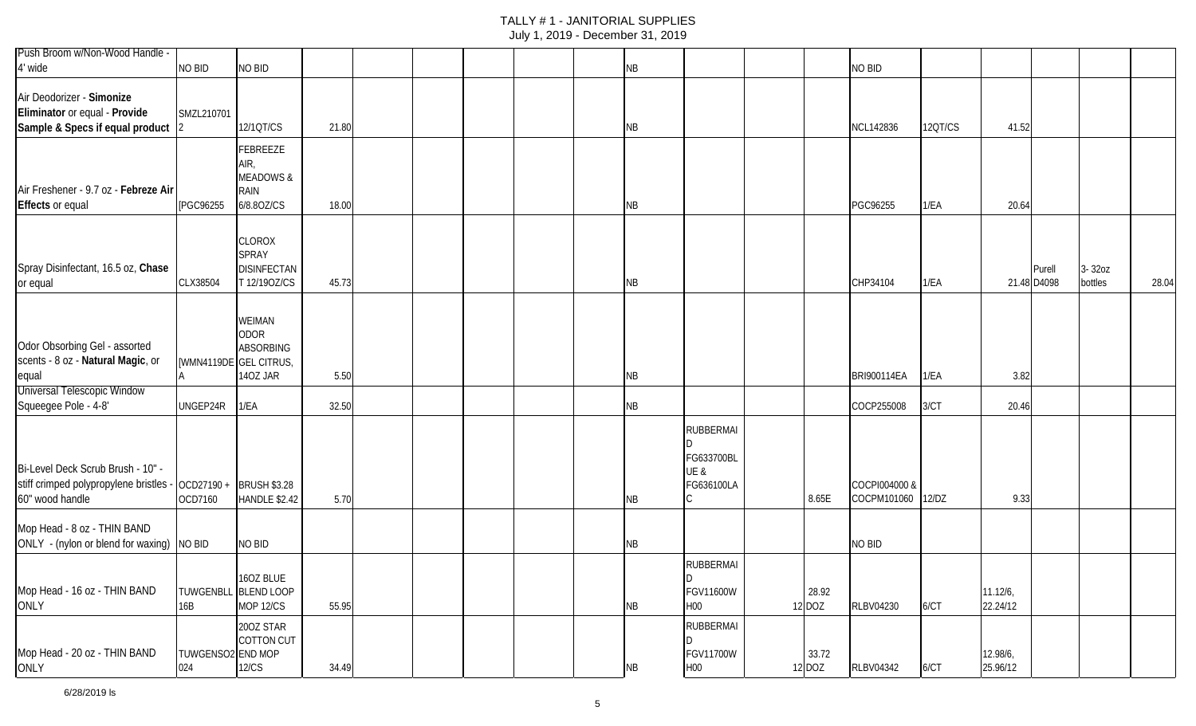| Push Broom w/Non-Wood Handle -<br>4' wide                                                                              | NO BID                   | NO BID                                                                |       |  |  | <b>NB</b> |                                                      |                 | NO BID                       |         |                      |                       |                   |       |
|------------------------------------------------------------------------------------------------------------------------|--------------------------|-----------------------------------------------------------------------|-------|--|--|-----------|------------------------------------------------------|-----------------|------------------------------|---------|----------------------|-----------------------|-------------------|-------|
| Air Deodorizer - Simonize<br>Eliminator or equal - Provide<br>Sample & Specs if equal product                          | SMZL210701               | 12/1QT/CS                                                             | 21.80 |  |  | NB        |                                                      |                 | NCL142836                    | 12QT/CS | 41.52                |                       |                   |       |
| Air Freshener - 9.7 oz - Febreze Air<br><b>Effects or equal</b>                                                        | [PGC96255                | FEBREEZE<br>AIR,<br><b>MEADOWS &amp;</b><br><b>RAIN</b><br>6/8.80Z/CS | 18.00 |  |  | <b>NB</b> |                                                      |                 | PGC96255                     | 1/EA    | 20.64                |                       |                   |       |
| Spray Disinfectant, 16.5 oz, Chase<br>or equal                                                                         | CLX38504                 | CLOROX<br>SPRAY<br><b>DISINFECTAN</b><br>T 12/190Z/CS                 | 45.73 |  |  | <b>NB</b> |                                                      |                 | CHP34104                     | 1/EA    |                      | Purell<br>21.48 D4098 | 3-32oz<br>bottles | 28.04 |
| Odor Obsorbing Gel - assorted<br>scents - 8 oz - Natural Magic, or<br>equal                                            | [WMN4119DE GEL CITRUS,   | WEIMAN<br><b>ODOR</b><br><b>ABSORBING</b><br>140Z JAR                 | 5.50  |  |  | <b>NB</b> |                                                      |                 | BRI900114EA                  | 1/EA    | 3.82                 |                       |                   |       |
| <b>Universal Telescopic Window</b><br>Squeegee Pole - 4-8'                                                             | UNGEP24R                 | 1/EA                                                                  | 32.50 |  |  | <b>NB</b> |                                                      |                 | COCP255008                   | 3/CT    | 20.46                |                       |                   |       |
| Bi-Level Deck Scrub Brush - 10" -<br>stiff crimped polypropylene bristles - OCD27190 + BRUSH \$3.28<br>60" wood handle | OCD7160                  | <b>HANDLE \$2.42</b>                                                  | 5.70  |  |  | <b>NB</b> | <b>RUBBERMAI</b><br>FG633700BL<br>UE &<br>FG636100LA | 8.65E           | COCPI004000 &<br>COCPM101060 | 12/DZ   | 9.33                 |                       |                   |       |
| Mop Head - 8 oz - THIN BAND<br>ONLY - (nylon or blend for waxing) NO BID                                               |                          | NO BID                                                                |       |  |  | NB        |                                                      |                 | NO BID                       |         |                      |                       |                   |       |
| Mop Head - 16 oz - THIN BAND<br>ONLY                                                                                   | 16B                      | 16OZ BLUE<br>TUWGENBLL BLEND LOOP<br>MOP 12/CS                        | 55.95 |  |  | NB        | <b>RUBBERMAI</b><br>FGV11600W<br>H00                 | 28.92<br>12 DOZ | RLBV04230                    | 6/CT    | 11.12/6,<br>22.24/12 |                       |                   |       |
| Mop Head - 20 oz - THIN BAND<br>ONLY                                                                                   | TUWGENSO2 END MOP<br>024 | 200Z STAR<br><b>COTTON CUT</b><br>12/CS                               | 34.49 |  |  | NB        | <b>RUBBERMAI</b><br>D<br>FGV11700W<br><b>H00</b>     | 33.72<br>12 DOZ | <b>RLBV04342</b>             | 6/CT    | 12.98/6,<br>25.96/12 |                       |                   |       |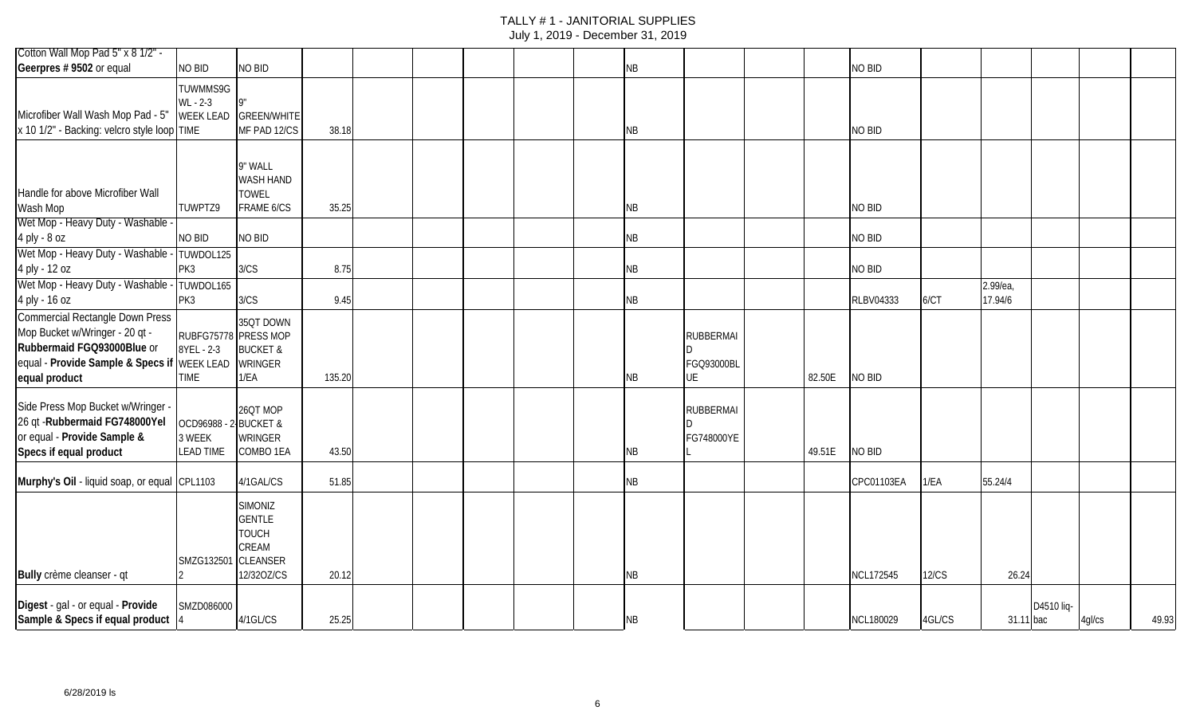# TALLY # 1 - JANITORIAL SUPPLIES

| July 1, 2019 - December 31, 2019 |  |
|----------------------------------|--|
|----------------------------------|--|

| Cotton Wall Mop Pad 5" x 8 1/2" -                                                                                                                     |                                               |                                                                                           |        |  |  |           |                                      |        |                  |              |           |            |        |       |
|-------------------------------------------------------------------------------------------------------------------------------------------------------|-----------------------------------------------|-------------------------------------------------------------------------------------------|--------|--|--|-----------|--------------------------------------|--------|------------------|--------------|-----------|------------|--------|-------|
| Geerpres # 9502 or equal                                                                                                                              | NO BID                                        | NO BID                                                                                    |        |  |  | NB        |                                      |        | <b>NO BID</b>    |              |           |            |        |       |
| Microfiber Wall Wash Mop Pad - 5"<br>x 10 1/2" - Backing: velcro style loop TIME                                                                      | TUWMMS9G<br>WL - 2-3<br><b>WEEK LEAD</b>      | <b>GREEN/WHITE</b><br>MF PAD 12/CS                                                        | 38.18  |  |  | NB        |                                      |        | <b>NO BID</b>    |              |           |            |        |       |
| Handle for above Microfiber Wall<br>Wash Mop                                                                                                          | TUWPTZ9                                       | 9" WALL<br>WASH HAND<br><b>TOWEL</b><br>FRAME 6/CS                                        | 35.25  |  |  | ΝB        |                                      |        | NO BID           |              |           |            |        |       |
| Wet Mop - Heavy Duty - Washable                                                                                                                       |                                               |                                                                                           |        |  |  |           |                                      |        |                  |              |           |            |        |       |
| 4 ply - 8 oz                                                                                                                                          | NO BID                                        | NO BID                                                                                    |        |  |  | ΝB        |                                      |        | <b>NO BID</b>    |              |           |            |        |       |
| Wet Mop - Heavy Duty - Washable<br>4 ply - 12 oz                                                                                                      | TUWDOL125<br>PK3                              | 3/CS                                                                                      | 8.75   |  |  | NB        |                                      |        | <b>NO BID</b>    |              |           |            |        |       |
| Wet Mop - Heavy Duty - Washable                                                                                                                       | TUWDOL165                                     |                                                                                           |        |  |  |           |                                      |        |                  |              | 2.99/ea,  |            |        |       |
| 4 ply - 16 oz                                                                                                                                         | PK3                                           | 3/CS                                                                                      | 9.45   |  |  | NB        |                                      |        | RLBV04333        | 6/CT         | 17.94/6   |            |        |       |
| Commercial Rectangle Down Press<br>Mop Bucket w/Wringer - 20 qt -<br>Rubbermaid FGQ93000Blue or<br>equal - Provide Sample & Specs if<br>equal product | 8YEL - 2-3<br><b>WEEK LEAD</b><br><b>TIME</b> | 35QT DOWN<br>RUBFG75778 PRESS MOP<br><b>BUCKET &amp;</b><br><b>WRINGER</b><br>1/EA        | 135.20 |  |  | ΝB        | <b>RUBBERMAI</b><br>FGQ93000BL<br>UE | 82.50E | NO BID           |              |           |            |        |       |
| Side Press Mop Bucket w/Wringer -<br>26 qt - Rubbermaid FG748000Yel<br>or equal - Provide Sample &<br>Specs if equal product                          | OCD96988 - 2-<br>3 WEEK<br><b>LEAD TIME</b>   | 26QT MOP<br><b>BUCKET &amp;</b><br>WRINGER<br>COMBO 1EA                                   | 43.50  |  |  | ΝB        | <b>RUBBERMAI</b><br>FG748000YE       | 49.51E | NO BID           |              |           |            |        |       |
| Murphy's Oil - liquid soap, or equal CPL1103                                                                                                          |                                               | 4/1GAL/CS                                                                                 | 51.85  |  |  | ΝB        |                                      |        | CPC01103EA       | 1/EA         | 55.24/4   |            |        |       |
| Bully crème cleanser - qt                                                                                                                             | SMZG132501                                    | <b>SIMONIZ</b><br><b>GENTLE</b><br><b>TOUCH</b><br>CREAM<br><b>CLEANSER</b><br>12/320Z/CS | 20.12  |  |  | NB        |                                      |        | <b>NCL172545</b> | <b>12/CS</b> | 26.24     |            |        |       |
| Digest - gal - or equal - Provide<br>Sample & Specs if equal product 4                                                                                | SMZD086000                                    | 4/1GL/CS                                                                                  | 25.25  |  |  | <b>NB</b> |                                      |        | NCL180029        | 4GL/CS       | 31.11 bac | D4510 liq- | 4gl/cs | 49.93 |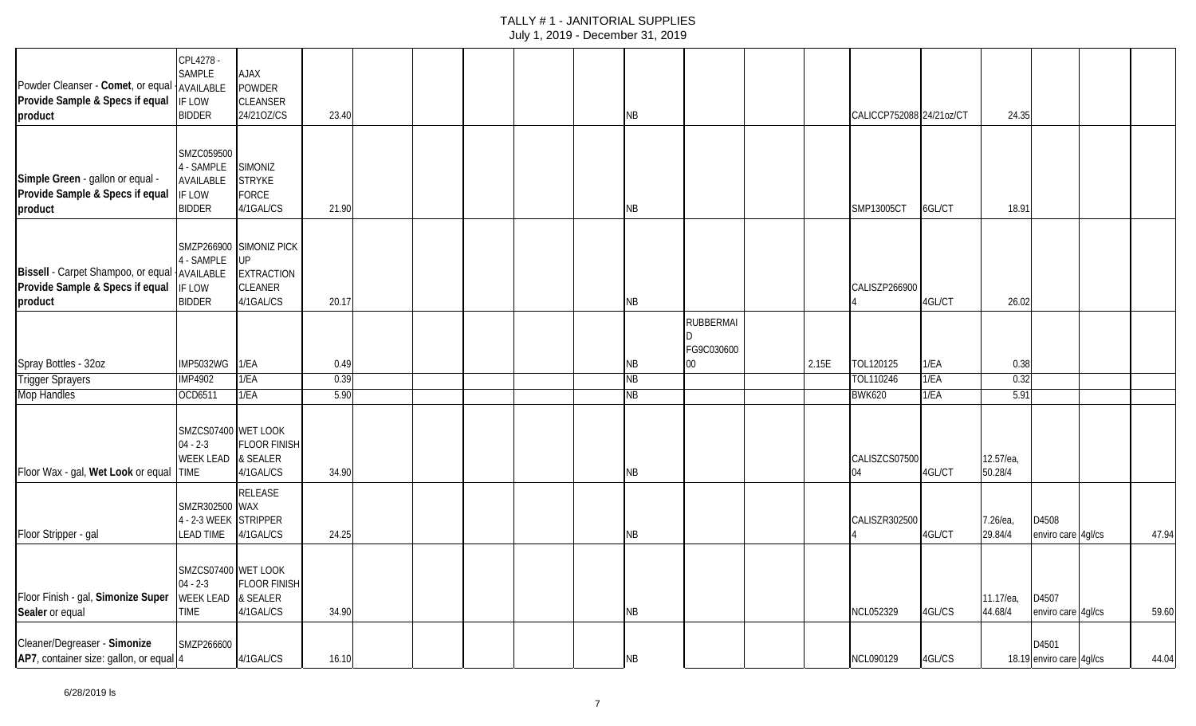| Powder Cleanser - Comet, or equal AVAILABLE<br>Provide Sample & Specs if equal<br>product  | CPL4278 -<br>SAMPLE<br>IF LOW<br><b>BIDDER</b>                   | XALA<br><b>POWDER</b><br><b>CLEANSER</b><br>24/210Z/CS                            | 23.40 |  |  | ΝB        |                                |       | CALICCP752088 24/21oz/CT |        | 24.35                |                                   |       |
|--------------------------------------------------------------------------------------------|------------------------------------------------------------------|-----------------------------------------------------------------------------------|-------|--|--|-----------|--------------------------------|-------|--------------------------|--------|----------------------|-----------------------------------|-------|
| Simple Green - gallon or equal -<br>Provide Sample & Specs if equal<br>product             | SMZC059500<br>4 - SAMPLE<br>AVAILABLE<br>IF LOW<br><b>BIDDER</b> | <b>SIMONIZ</b><br><b>STRYKE</b><br><b>FORCE</b><br>4/1GAL/CS                      | 21.90 |  |  | NB        |                                |       | SMP13005CT               | 6GL/CT | 18.91                |                                   |       |
| Bissell - Carpet Shampoo, or equal AVAILABLE<br>Provide Sample & Specs if equal<br>product | 4 - SAMPLE<br>IF LOW<br><b>BIDDER</b>                            | SMZP266900 SIMONIZ PICK<br><b>UP</b><br><b>EXTRACTION</b><br>CLEANER<br>4/1GAL/CS | 20.17 |  |  | NB        |                                |       | CALISZP266900            | 4GL/CT | 26.02                |                                   |       |
|                                                                                            |                                                                  |                                                                                   |       |  |  |           | <b>RUBBERMAI</b><br>FG9C030600 |       |                          |        |                      |                                   |       |
| Spray Bottles - 32oz                                                                       | <b>IMP5032WG</b>                                                 | 1/EA                                                                              | 0.49  |  |  | ΝB        | 00                             | 2.15E | TOL120125                | 1/EA   | 0.38                 |                                   |       |
| <b>Trigger Sprayers</b>                                                                    | <b>IMP4902</b>                                                   | 1/EA                                                                              | 0.39  |  |  | <b>NB</b> |                                |       | TOL110246                | 1/EA   | 0.32                 |                                   |       |
| <b>Mop Handles</b>                                                                         | OCD6511                                                          | 1/EA                                                                              | 5.90  |  |  | ΝB        |                                |       | <b>BWK620</b>            | 1/EA   | 5.91                 |                                   |       |
| Floor Wax - gal, Wet Look or equal TIME                                                    | SMZCS07400 WET LOOK<br>$04 - 2 - 3$<br>WEEK LEAD & SEALER        | <b>FLOOR FINISH</b><br>4/1GAL/CS                                                  | 34.90 |  |  | NB        |                                |       | CALISZCS07500<br>04      | 4GL/CT | 12.57/ea,<br>50.28/4 |                                   |       |
| Floor Stripper - gal                                                                       | SMZR302500 WAX<br>4 - 2-3 WEEK STRIPPER<br><b>LEAD TIME</b>      | RELEASE<br>4/1GAL/CS                                                              | 24.25 |  |  | ΝB        |                                |       | CALISZR302500            | 4GL/CT | 7.26/ea,<br>29.84/4  | D4508<br>enviro care 4gl/cs       | 47.94 |
| Floor Finish - gal, Simonize Super<br>Sealer or equal                                      | SMZCS07400 WET LOOK<br>$04 - 2-3$<br>WEEK LEAD<br><b>TIME</b>    | <b>FLOOR FINISH</b><br>& SEALER<br>4/1GAL/CS                                      | 34.90 |  |  | <b>NB</b> |                                |       | NCL052329                | 4GL/CS | 11.17/ea,<br>44.68/4 | D4507<br>enviro care 4gl/cs       | 59.60 |
| Cleaner/Degreaser - Simonize<br>AP7, container size: gallon, or equal 4                    | SMZP266600                                                       | 4/1GAL/CS                                                                         | 16.10 |  |  | NB        |                                |       | NCL090129                | 4GL/CS |                      | D4501<br>18.19 enviro care 4gl/cs | 44.04 |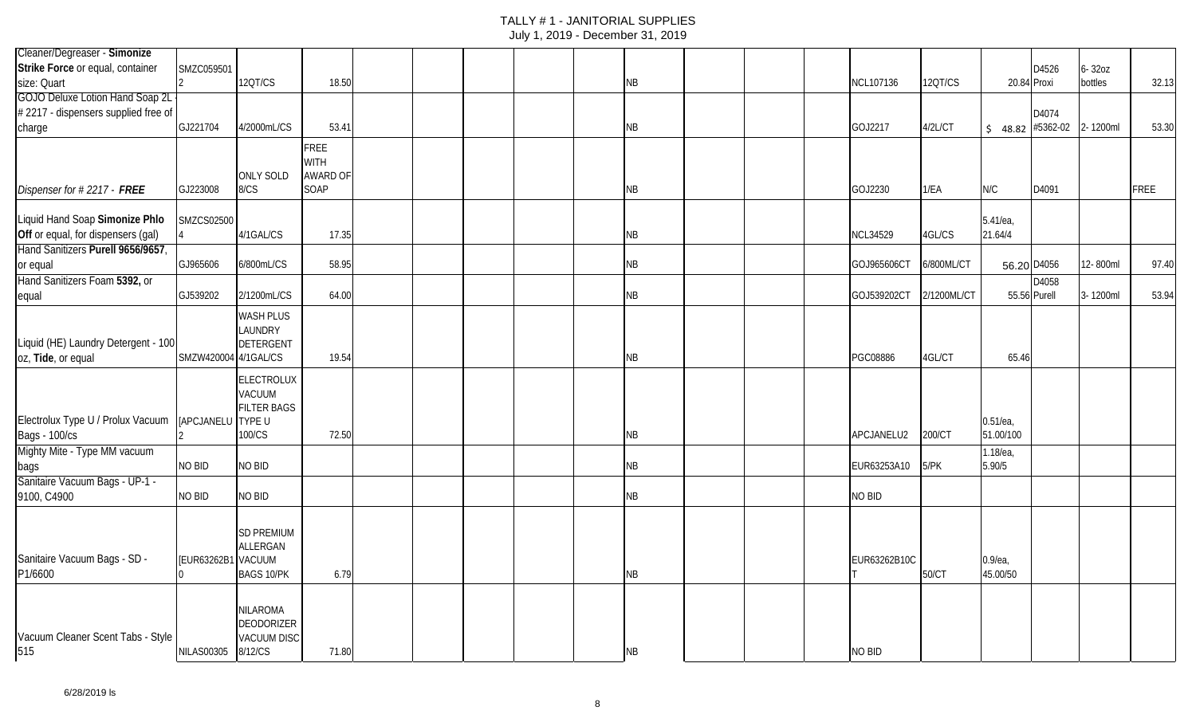| Cleaner/Degreaser - Simonize                        |                      |                    |                 |  |  |           |  |                 |             |                   |       |            |             |
|-----------------------------------------------------|----------------------|--------------------|-----------------|--|--|-----------|--|-----------------|-------------|-------------------|-------|------------|-------------|
| Strike Force or equal, container                    | SMZC059501           |                    |                 |  |  |           |  |                 |             |                   | D4526 | $6 - 320Z$ |             |
| size: Quart                                         |                      | 12QT/CS            | 18.50           |  |  | <b>NB</b> |  | NCL107136       | 12QT/CS     | 20.84 Proxi       |       | bottles    | 32.13       |
| <b>GOJO Deluxe Lotion Hand Soap 2L</b>              |                      |                    |                 |  |  |           |  |                 |             |                   |       |            |             |
| #2217 - dispensers supplied free of                 |                      |                    |                 |  |  |           |  |                 |             |                   | D4074 |            |             |
| charge                                              | GJ221704             | 4/2000mL/CS        | 53.41           |  |  | <b>NB</b> |  | GOJ2217         | 4/2L/CT     | $$48.82$ #5362-02 |       | 2-1200ml   | 53.30       |
|                                                     |                      |                    | FREE            |  |  |           |  |                 |             |                   |       |            |             |
|                                                     |                      |                    | <b>WITH</b>     |  |  |           |  |                 |             |                   |       |            |             |
|                                                     |                      | <b>ONLY SOLD</b>   | <b>AWARD OF</b> |  |  |           |  |                 |             |                   |       |            |             |
| Dispenser for #2217 - FREE                          | GJ223008             | 8/CS               | SOAP            |  |  | <b>NB</b> |  | GOJ2230         | 1/EA        | N/C               | D4091 |            | <b>FREE</b> |
| Liquid Hand Soap Simonize Phlo                      | SMZCS02500           |                    |                 |  |  |           |  |                 |             | 5.41/ea,          |       |            |             |
| Off or equal, for dispensers (gal)                  |                      | 4/1GAL/CS          | 17.35           |  |  | <b>NB</b> |  | <b>NCL34529</b> | 4GL/CS      | 21.64/4           |       |            |             |
| Hand Sanitizers Purell 9656/9657,                   |                      |                    |                 |  |  |           |  |                 |             |                   |       |            |             |
| or equal                                            | GJ965606             | 6/800mL/CS         | 58.95           |  |  | <b>NB</b> |  | GOJ965606C      | 6/800ML/CT  | 56.20 D4056       |       | 12-800ml   | 97.40       |
| Hand Sanitizers Foam 5392, or                       |                      |                    |                 |  |  |           |  |                 |             |                   | D4058 |            |             |
| equal                                               | GJ539202             | 2/1200mL/CS        | 64.00           |  |  | <b>NB</b> |  | GOJ539202CT     | 2/1200ML/CT | 55.56 Purell      |       | 3-1200ml   | 53.94       |
|                                                     |                      | <b>WASH PLUS</b>   |                 |  |  |           |  |                 |             |                   |       |            |             |
|                                                     |                      | LAUNDRY            |                 |  |  |           |  |                 |             |                   |       |            |             |
| Liquid (HE) Laundry Detergent - 100                 |                      | DETERGENT          |                 |  |  |           |  |                 |             |                   |       |            |             |
| oz, Tide, or equal                                  | SMZW420004 4/1GAL/CS |                    | 19.54           |  |  | <b>NB</b> |  | PGC08886        | 4GL/CT      | 65.46             |       |            |             |
|                                                     |                      | ELECTROLUX         |                 |  |  |           |  |                 |             |                   |       |            |             |
|                                                     |                      | VACUUM             |                 |  |  |           |  |                 |             |                   |       |            |             |
|                                                     |                      | <b>FILTER BAGS</b> |                 |  |  |           |  |                 |             |                   |       |            |             |
| Electrolux Type U / Prolux Vacuum [APCJANELU TYPE U |                      |                    |                 |  |  |           |  |                 |             | $0.51$ /ea        |       |            |             |
| <b>Bags - 100/cs</b>                                |                      | 100/CS             | 72.50           |  |  | <b>NB</b> |  | APCJANELU2      | 200/CT      | 51.00/100         |       |            |             |
| Mighty Mite - Type MM vacuum                        |                      |                    |                 |  |  |           |  |                 |             | 1.18/ea,          |       |            |             |
| bags                                                | NO BID               | <b>NO BID</b>      |                 |  |  | <b>NB</b> |  | EUR63253A10     | 5/PK        | 5.90/5            |       |            |             |
| Sanitaire Vacuum Bags - UP-1 -                      |                      |                    |                 |  |  |           |  |                 |             |                   |       |            |             |
| 9100, C4900                                         | NO BID               | NO BID             |                 |  |  | <b>NB</b> |  | NO BID          |             |                   |       |            |             |
|                                                     |                      |                    |                 |  |  |           |  |                 |             |                   |       |            |             |
|                                                     |                      | <b>SD PREMIUM</b>  |                 |  |  |           |  |                 |             |                   |       |            |             |
| Sanitaire Vacuum Bags - SD -                        | [EUR63262B1 VACUUM   | ALLERGAN           |                 |  |  |           |  | EUR63262B10C    |             | $0.9$ /ea,        |       |            |             |
| P1/6600                                             |                      | <b>BAGS 10/PK</b>  | 6.79            |  |  | <b>NB</b> |  |                 | 50/CT       | 45.00/50          |       |            |             |
|                                                     |                      |                    |                 |  |  |           |  |                 |             |                   |       |            |             |
|                                                     |                      | <b>NILAROMA</b>    |                 |  |  |           |  |                 |             |                   |       |            |             |
|                                                     |                      | <b>DEODORIZER</b>  |                 |  |  |           |  |                 |             |                   |       |            |             |
| Vacuum Cleaner Scent Tabs - Style                   |                      | <b>VACUUM DISC</b> |                 |  |  |           |  |                 |             |                   |       |            |             |
| 515                                                 | NILAS00305 8/12/CS   |                    | 71.80           |  |  | <b>NB</b> |  | NO BID          |             |                   |       |            |             |
|                                                     |                      |                    |                 |  |  |           |  |                 |             |                   |       |            |             |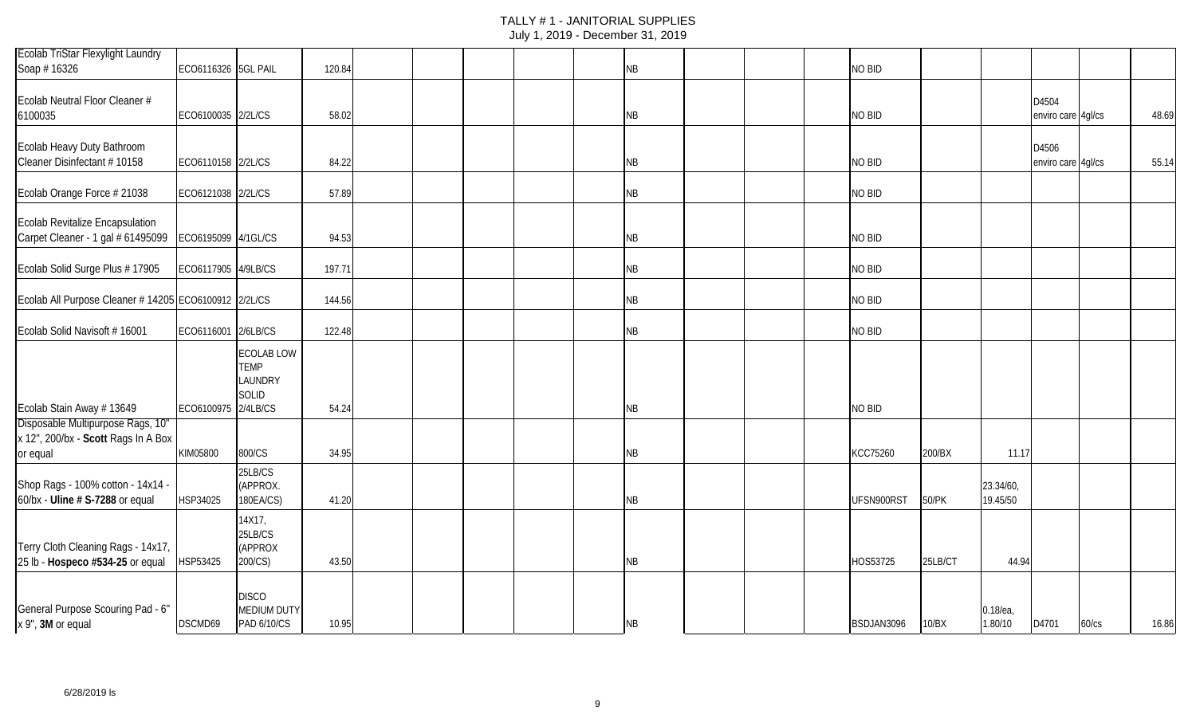| Ecolab TriStar Flexylight Laundry                                                    |                     |                                                             |        |  |  |           |  |                 |         |                        |                             |       |       |
|--------------------------------------------------------------------------------------|---------------------|-------------------------------------------------------------|--------|--|--|-----------|--|-----------------|---------|------------------------|-----------------------------|-------|-------|
| Soap #16326                                                                          | ECO6116326 5GL PAIL |                                                             | 120.84 |  |  | NB        |  | NO BID          |         |                        |                             |       |       |
| Ecolab Neutral Floor Cleaner #<br>6100035                                            | ECO6100035 2/2L/CS  |                                                             | 58.02  |  |  | NB        |  | NO BID          |         |                        | D4504<br>enviro care 4gl/cs |       | 48.69 |
| Ecolab Heavy Duty Bathroom<br>Cleaner Disinfectant # 10158                           | ECO6110158 2/2L/CS  |                                                             | 84.22  |  |  | NB        |  | NO BID          |         |                        | D4506<br>enviro care 4gl/cs |       | 55.14 |
| Ecolab Orange Force # 21038                                                          | ECO6121038 2/2L/CS  |                                                             | 57.89  |  |  | <b>NB</b> |  | NO BID          |         |                        |                             |       |       |
| Ecolab Revitalize Encapsulation<br>Carpet Cleaner - 1 gal # 61495099                 | ECO6195099 4/1GL/CS |                                                             | 94.53  |  |  | NB        |  | NO BID          |         |                        |                             |       |       |
| Ecolab Solid Surge Plus #17905                                                       | ECO6117905 4/9LB/CS |                                                             | 197.71 |  |  | NB        |  | NO BID          |         |                        |                             |       |       |
| Ecolab All Purpose Cleaner # 14205 ECO6100912 2/2L/CS                                |                     |                                                             | 144.56 |  |  | NB        |  | NO BID          |         |                        |                             |       |       |
| Ecolab Solid Navisoft #16001                                                         | ECO6116001 2/6LB/CS |                                                             | 122.48 |  |  | NB        |  | NO BID          |         |                        |                             |       |       |
| Ecolab Stain Away #13649                                                             | ECO6100975 2/4LB/CS | <b>ECOLAB LOW</b><br><b>TEMP</b><br>LAUNDRY<br><b>SOLID</b> | 54.24  |  |  | <b>NB</b> |  | NO BID          |         |                        |                             |       |       |
| Disposable Multipurpose Rags, 10"<br>x 12", 200/bx - Scott Rags In A Box<br>or equal | KIM05800            | 800/CS                                                      | 34.95  |  |  | <b>NB</b> |  | <b>KCC75260</b> | 200/BX  | 11.17                  |                             |       |       |
| Shop Rags - 100% cotton - 14x14 -<br>60/bx - Uline # S-7288 or equal                 | HSP34025            | 25LB/CS<br>(APPROX.<br>180EA/CS)                            | 41.20  |  |  | NB        |  | UFSN900RST      | 50/PK   | 23.34/60,<br>19.45/50  |                             |       |       |
| Terry Cloth Cleaning Rags - 14x17,<br>25 lb - Hospeco #534-25 or equal               | HSP53425            | 14X17,<br>25LB/CS<br>(APPROX<br>200/CS)                     | 43.50  |  |  | NB        |  | HOS53725        | 25LB/CT | 44.94                  |                             |       |       |
| General Purpose Scouring Pad - 6"<br>x 9", 3M or equal                               | DSCMD69             | <b>DISCO</b><br><b>MEDIUM DUTY</b><br>PAD 6/10/CS           | 10.95  |  |  | NB        |  | BSDJAN3096      | 10/BX   | $0.18$ /ea,<br>1.80/10 | D4701                       | 60/cs | 16.86 |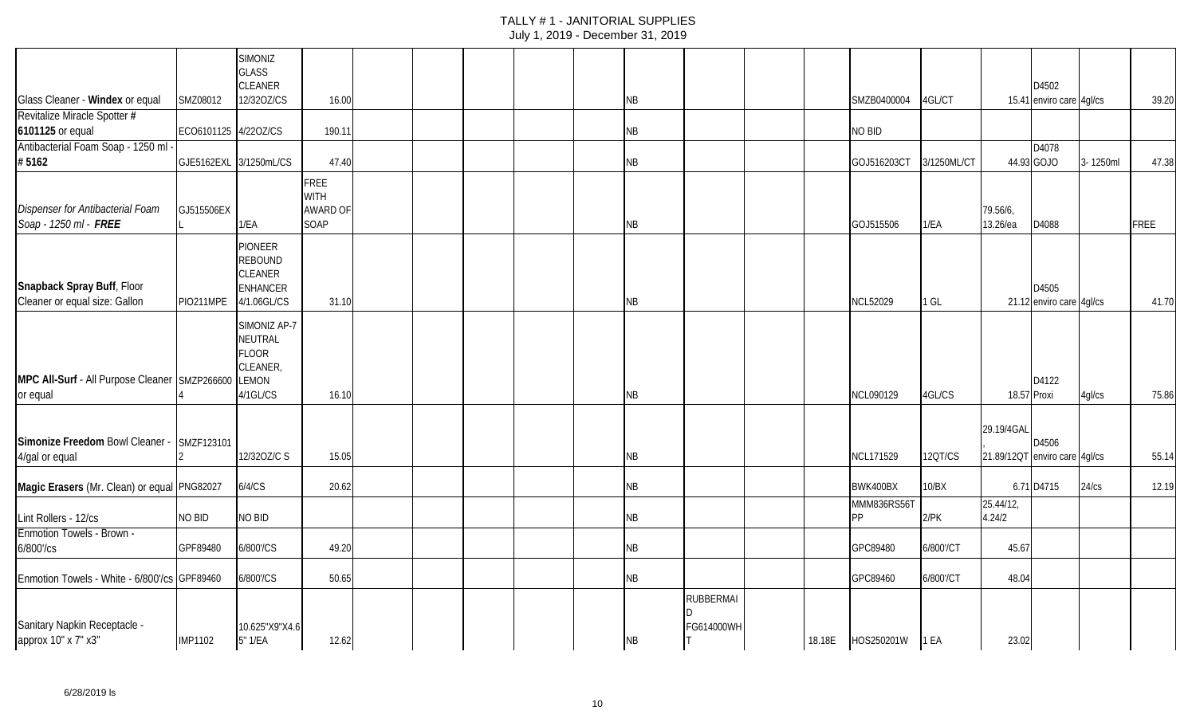|                                                              |                        | <b>SIMONIZ</b><br>GLASS<br>CLEANER                                                   |                                                |  |  |           |                                |        |                          |             |                                             | D4502                             |          |             |
|--------------------------------------------------------------|------------------------|--------------------------------------------------------------------------------------|------------------------------------------------|--|--|-----------|--------------------------------|--------|--------------------------|-------------|---------------------------------------------|-----------------------------------|----------|-------------|
| Glass Cleaner - Windex or equal                              | SMZ08012               | 12/320Z/CS                                                                           | 16.00                                          |  |  | NB        |                                |        | SMZB0400004              | 4GL/CT      |                                             | 15.41 enviro care 4gl/cs          |          | 39.20       |
| Revitalize Miracle Spotter #<br>6101125 or equal             | ECO6101125 4/22OZ/CS   |                                                                                      | 190.11                                         |  |  | NΒ        |                                |        | NO BID                   |             |                                             |                                   |          |             |
| Antibacterial Foam Soap - 1250 ml<br>#5162                   | GJE5162EXL 3/1250mL/CS |                                                                                      | 47.40                                          |  |  | NΒ        |                                |        | GOJ516203CT              | 3/1250ML/CT |                                             | D4078<br>44.93 GOJO               | 3-1250ml | 47.38       |
| Dispenser for Antibacterial Foam<br>Soap - 1250 ml - FREE    | GJ515506EX             | 1/EA                                                                                 | <b>FREE</b><br><b>WITH</b><br>AWARD OF<br>SOAP |  |  | NB        |                                |        | GOJ515506                | 1/EA        | 79.56/6,<br>13.26/ea                        | D4088                             |          | <b>FREE</b> |
| Snapback Spray Buff, Floor<br>Cleaner or equal size: Gallon  | PIO211MPE              | <b>PIONEER</b><br><b>REBOUND</b><br><b>CLEANER</b><br><b>ENHANCER</b><br>4/1.06GL/CS | 31.10                                          |  |  | NB        |                                |        | <b>NCL52029</b>          | 1 GL        |                                             | D4505<br>21.12 enviro care 4gl/cs |          | 41.70       |
| MPC All-Surf - All Purpose Cleaner SMZP266600<br>or equal    |                        | SIMONIZ AP-7<br><b>NEUTRAL</b><br><b>FLOOR</b><br>CLEANER,<br>LEMON<br>4/1GL/CS      | 16.10                                          |  |  | NΒ        |                                |        | NCL090129                | 4GL/CS      | 18.57 Proxi                                 | D4122                             | 4gl/cs   | 75.86       |
| Simonize Freedom Bowl Cleaner - SMZF123101<br>4/gal or equal |                        | 12/320Z/C S                                                                          | 15.05                                          |  |  | NΒ        |                                |        | <b>NCL171529</b>         | 12QT/CS     | 29.19/4GAL<br>21.89/12QT enviro care 4gl/cs | D4506                             |          | 55.14       |
| Magic Erasers (Mr. Clean) or equal PNG82027                  |                        | 6/4/CS                                                                               | 20.62                                          |  |  | NΒ        |                                |        | BWK400BX                 | 10/BX       |                                             | 6.71 D4715                        | 24/cs    | 12.19       |
| Lint Rollers - 12/cs                                         | NO BID                 | NO BID                                                                               |                                                |  |  | NB        |                                |        | MMM836RS56T<br><b>PP</b> | $2$ /PK     | 25.44/12,<br>4.24/2                         |                                   |          |             |
| <b>Enmotion Towels - Brown -</b><br>6/800'/cs                | GPF89480               | 6/800'/CS                                                                            | 49.20                                          |  |  | NΒ        |                                |        | GPC89480                 | 6/800'/CT   | 45.67                                       |                                   |          |             |
| Enmotion Towels - White - 6/800'/cs GPF89460                 |                        | 6/800'/CS                                                                            | 50.65                                          |  |  | NB        |                                |        | GPC89460                 | 6/800'/CT   | 48.04                                       |                                   |          |             |
| Sanitary Napkin Receptacle -<br>арргох 10" х 7" х3"          | <b>IMP1102</b>         | 10.625"X9"X4.6<br>5" 1/EA                                                            | 12.62                                          |  |  | <b>NB</b> | <b>RUBBERMAI</b><br>FG614000WH | 18.18E | HOS250201W               | 1 EA        | 23.02                                       |                                   |          |             |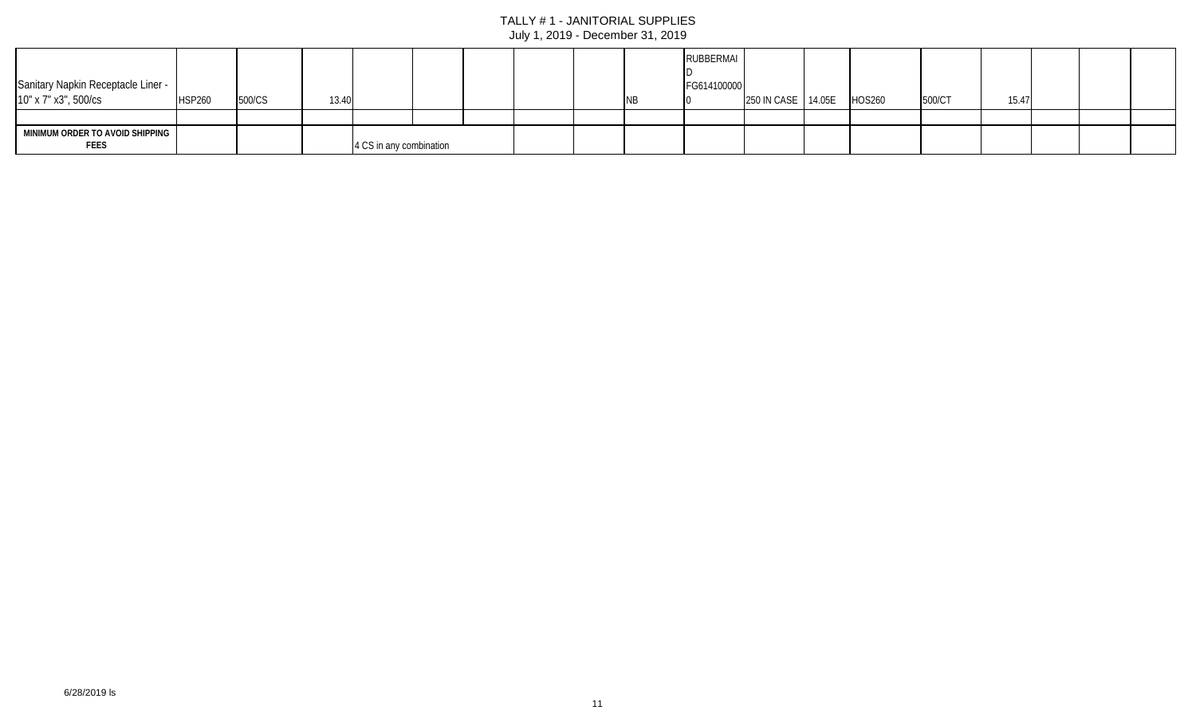| Sanitary Napkin Receptacle Liner -<br>10" x 7" x3", 500/cs | <b>HSP260</b> | 500/CS | 13.40 |                         |  |  | <b>RUBBERMAI</b><br>FG614100000 | 250 IN CASE 14.05E | <b>HOS260</b> | 500/CT | 15.47 |  |  |
|------------------------------------------------------------|---------------|--------|-------|-------------------------|--|--|---------------------------------|--------------------|---------------|--------|-------|--|--|
|                                                            |               |        |       |                         |  |  |                                 |                    |               |        |       |  |  |
| MINIMUM ORDER TO AVOID SHIPPING<br><b>FEES</b>             |               |        |       | 4 CS in any combination |  |  |                                 |                    |               |        |       |  |  |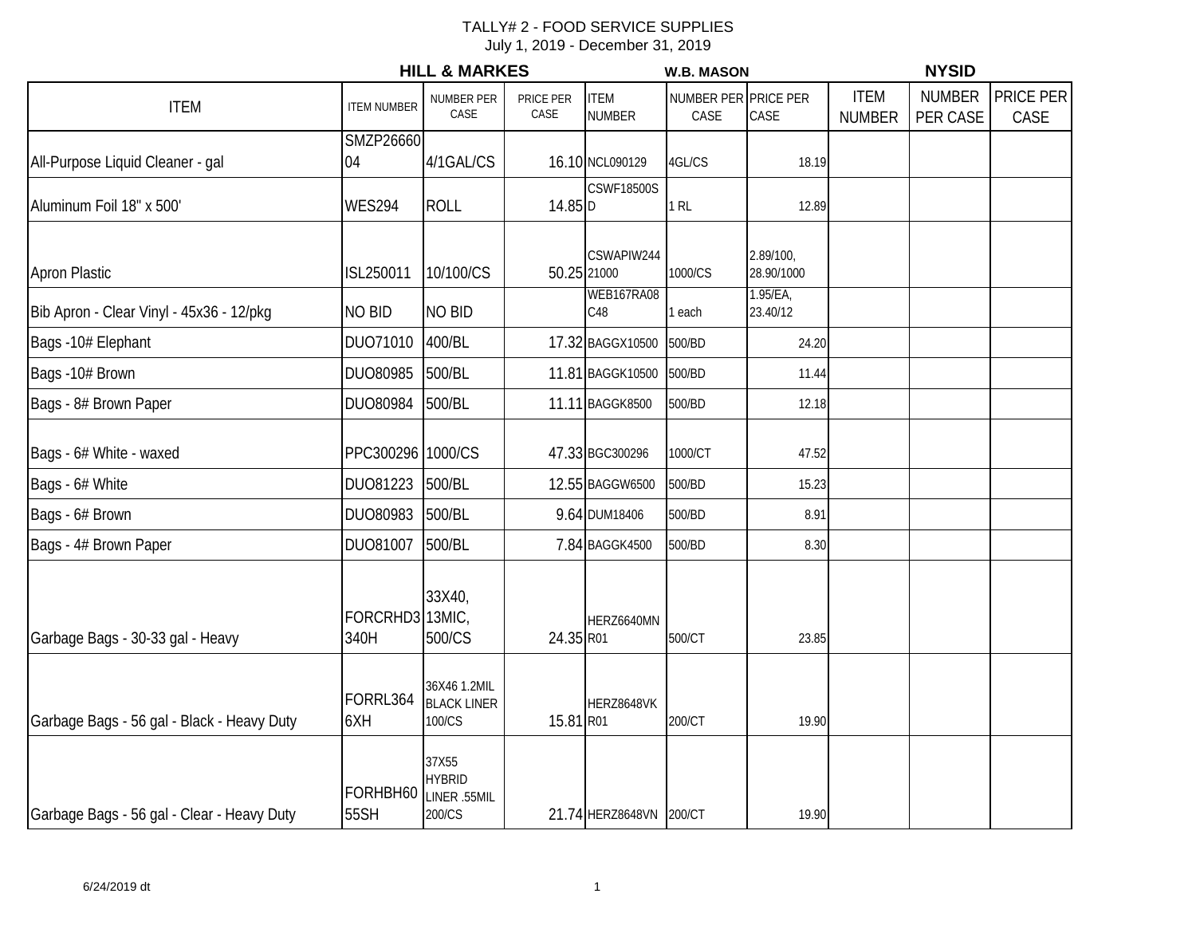|                                            |                         | <b>HILL &amp; MARKES</b>                         |                   |                              | <b>W.B. MASON</b>            |                         | <b>NYSID</b>                 |                           |                   |  |
|--------------------------------------------|-------------------------|--------------------------------------------------|-------------------|------------------------------|------------------------------|-------------------------|------------------------------|---------------------------|-------------------|--|
| <b>ITEM</b>                                | <b>ITEM NUMBER</b>      | NUMBER PER<br>CASE                               | PRICE PER<br>CASE | <b>ITEM</b><br><b>NUMBER</b> | NUMBER PER PRICE PER<br>CASE | CASE                    | <b>ITEM</b><br><b>NUMBER</b> | <b>NUMBER</b><br>PER CASE | PRICE PER<br>CASE |  |
| All-Purpose Liquid Cleaner - gal           | <b>SMZP26660</b><br>04  | 4/1GAL/CS                                        |                   | 16.10 NCL090129              | 4GL/CS                       | 18.19                   |                              |                           |                   |  |
| Aluminum Foil 18" x 500'                   | <b>WES294</b>           | <b>ROLL</b>                                      | 14.85 D           | <b>CSWF18500S</b>            | $1$ RL                       | 12.89                   |                              |                           |                   |  |
| <b>Apron Plastic</b>                       | ISL250011               | 10/100/CS                                        |                   | CSWAPIW244<br>50.25 21000    | 1000/CS                      | 2.89/100,<br>28.90/1000 |                              |                           |                   |  |
| Bib Apron - Clear Vinyl - 45x36 - 12/pkg   | <b>NO BID</b>           | <b>NO BID</b>                                    |                   | WEB167RA08<br>C48            | 1 each                       | 1.95/EA,<br>23.40/12    |                              |                           |                   |  |
| Bags -10# Elephant                         | DU071010                | 400/BL                                           |                   | 17.32 BAGGX10500             | 500/BD                       | 24.20                   |                              |                           |                   |  |
| Bags -10# Brown                            | DUO80985                | 500/BL                                           |                   | 11.81 BAGGK10500             | 500/BD                       | 11.44                   |                              |                           |                   |  |
| Bags - 8# Brown Paper                      | DUO80984                | 500/BL                                           |                   | 11.11 BAGGK8500              | 500/BD                       | 12.18                   |                              |                           |                   |  |
| Bags - 6# White - waxed                    | PPC300296 1000/CS       |                                                  |                   | 47.33 BGC300296              | 1000/CT                      | 47.52                   |                              |                           |                   |  |
| Bags - 6# White                            | DU081223                | 500/BL                                           |                   | 12.55 BAGGW6500              | 500/BD                       | 15.23                   |                              |                           |                   |  |
| Bags - 6# Brown                            | DUO80983                | 500/BL                                           |                   | 9.64 DUM18406                | 500/BD                       | 8.91                    |                              |                           |                   |  |
| Bags - 4# Brown Paper                      | DUO81007                | 500/BL                                           |                   | 7.84 BAGGK4500               | 500/BD                       | 8.30                    |                              |                           |                   |  |
| Garbage Bags - 30-33 gal - Heavy           | FORCRHD3 13MIC,<br>340H | 33X40,<br>500/CS                                 | 24.35 R01         | HERZ6640MN                   | 500/CT                       | 23.85                   |                              |                           |                   |  |
| Garbage Bags - 56 gal - Black - Heavy Duty | FORRL364<br>6XH         | 36X46 1.2MIL<br><b>BLACK LINER</b><br>100/CS     | 15.81 R01         | HERZ8648VK                   | 200/CT                       | 19.90                   |                              |                           |                   |  |
| Garbage Bags - 56 gal - Clear - Heavy Duty | FORHBH60<br>55SH        | 37X55<br><b>HYBRID</b><br>LINER .55MIL<br>200/CS |                   | 21.74 HERZ8648VN 200/CT      |                              | 19.90                   |                              |                           |                   |  |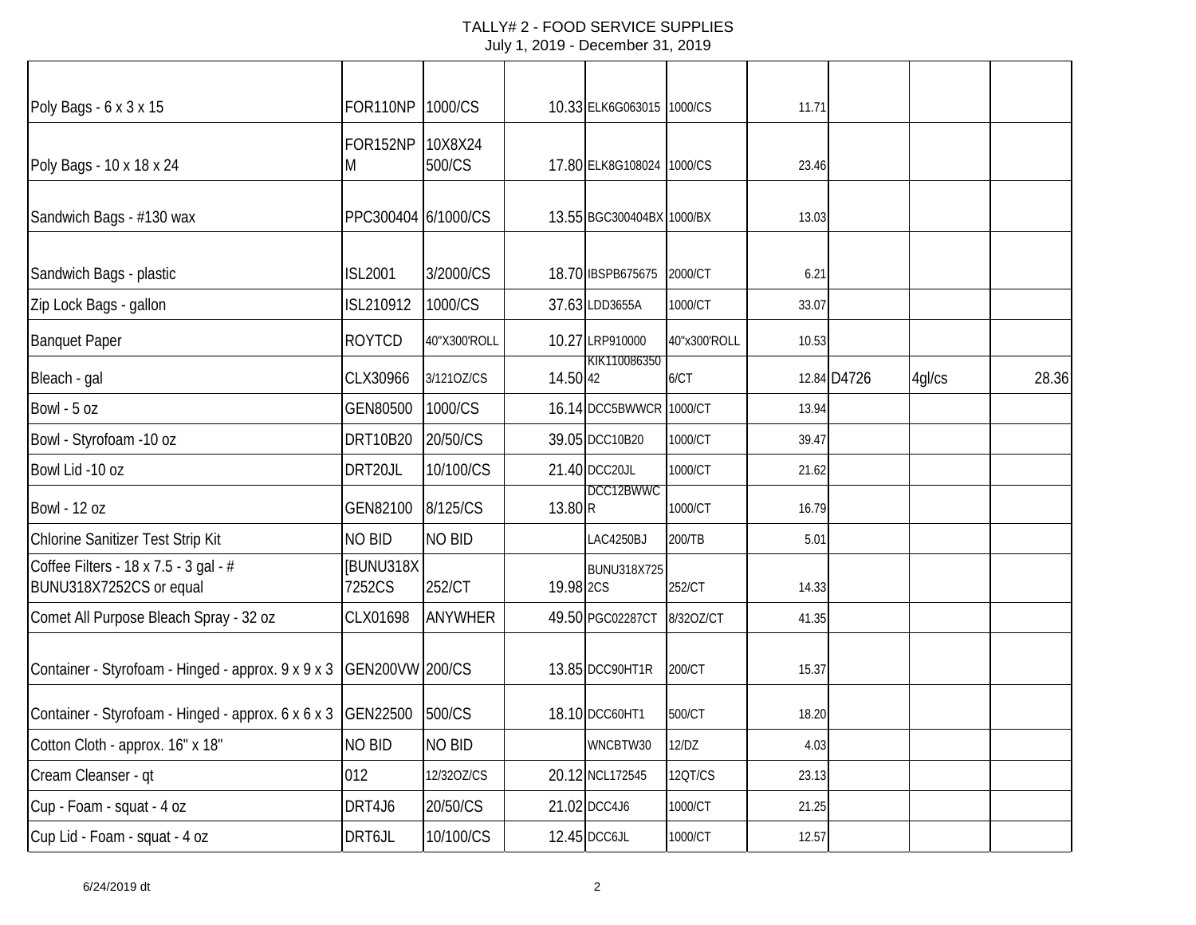| Poly Bags - 6 x 3 x 15                                           | FOR110NP 1000/CS       |                   |           | 10.33 ELK6G063015 1000/CS |              | 11.71 |             |        |       |
|------------------------------------------------------------------|------------------------|-------------------|-----------|---------------------------|--------------|-------|-------------|--------|-------|
| Poly Bags - 10 x 18 x 24                                         | FOR152NP<br>M          | 10X8X24<br>500/CS |           | 17.80 ELK8G108024 1000/CS |              | 23.46 |             |        |       |
| Sandwich Bags - #130 wax                                         | PPC300404 6/1000/CS    |                   |           | 13.55 BGC300404BX 1000/BX |              | 13.03 |             |        |       |
| Sandwich Bags - plastic                                          | <b>ISL2001</b>         | 3/2000/CS         |           | 18.70 IBSPB675675         | 2000/CT      | 6.21  |             |        |       |
| Zip Lock Bags - gallon                                           | ISL210912              | 1000/CS           |           | 37.63 LDD3655A            | 1000/CT      | 33.07 |             |        |       |
| <b>Banquet Paper</b>                                             | <b>ROYTCD</b>          | 40"X300'ROLL      |           | 10.27 LRP910000           | 40"x300'ROLL | 10.53 |             |        |       |
| Bleach - gal                                                     | CLX30966               | 3/1210Z/CS        | 14.50 42  | KIK110086350              | 6/CT         |       | 12.84 D4726 | 4gl/cs | 28.36 |
| Bowl - 5 oz                                                      | GEN80500               | 1000/CS           |           | 16.14 DCC5BWWCR 1000/CT   |              | 13.94 |             |        |       |
| Bowl - Styrofoam -10 oz                                          | <b>DRT10B20</b>        | 20/50/CS          |           | 39.05 DCC10B20            | 1000/CT      | 39.47 |             |        |       |
| Bowl Lid -10 oz                                                  | DRT20JL                | 10/100/CS         |           | 21.40 DCC20JL             | 1000/CT      | 21.62 |             |        |       |
| <b>Bowl - 12 oz</b>                                              | GEN82100               | 8/125/CS          | 13.80 R   | DCC12BWWC                 | 1000/CT      | 16.79 |             |        |       |
| Chlorine Sanitizer Test Strip Kit                                | <b>NO BID</b>          | <b>NO BID</b>     |           | LAC4250BJ                 | 200/TB       | 5.01  |             |        |       |
| Coffee Filters - 18 x 7.5 - 3 gal - #<br>BUNU318X7252CS or equal | [BUNU318X<br>7252CS    | 252/CT            | 19.98 2CS | BUNU318X725               | 252/CT       | 14.33 |             |        |       |
| Comet All Purpose Bleach Spray - 32 oz                           | CLX01698               | <b>ANYWHER</b>    |           | 49.50 PGC02287CT          | 8/32OZ/CT    | 41.35 |             |        |       |
| Container - Styrofoam - Hinged - approx. 9 x 9 x 3               | <b>GEN200VW 200/CS</b> |                   |           | 13.85 DCC90HT1R           | 200/CT       | 15.37 |             |        |       |
| Container - Styrofoam - Hinged - approx. 6 x 6 x 3               | GEN22500               | 500/CS            |           | 18.10 DCC60HT1            | 500/CT       | 18.20 |             |        |       |
| Cotton Cloth - approx. 16" x 18"                                 | <b>NO BID</b>          | <b>NO BID</b>     |           | WNCBTW30                  | 12/DZ        | 4.03  |             |        |       |
| Cream Cleanser - qt                                              | 012                    | 12/320Z/CS        |           | 20.12 NCL172545           | 12QT/CS      | 23.13 |             |        |       |
| Cup - Foam - squat - 4 oz                                        | DRT4J6                 | 20/50/CS          |           | 21.02 DCC4J6              | 1000/CT      | 21.25 |             |        |       |
| Cup Lid - Foam - squat - 4 oz                                    | DRT6JL                 | 10/100/CS         |           | 12.45 DCC6JL              | 1000/CT      | 12.57 |             |        |       |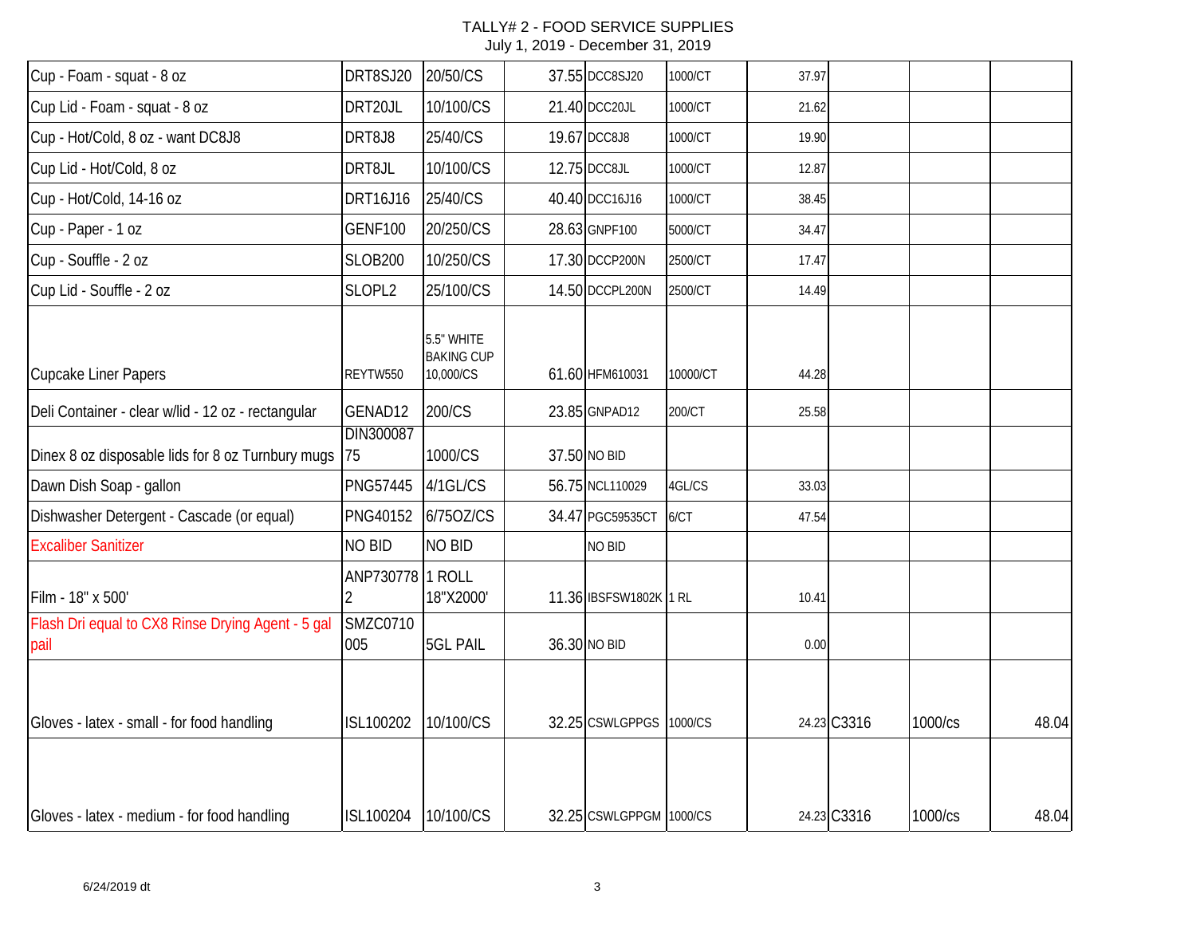| Cup - Foam - squat - 8 oz                                 | DRT8SJ20               | 20/50/CS                                     | 37.55 DCC8SJ20          | 1000/CT  | 37.97 |             |         |       |
|-----------------------------------------------------------|------------------------|----------------------------------------------|-------------------------|----------|-------|-------------|---------|-------|
| Cup Lid - Foam - squat - 8 oz                             | DRT20JL                | 10/100/CS                                    | 21.40 DCC20JL           | 1000/CT  | 21.62 |             |         |       |
| Cup - Hot/Cold, 8 oz - want DC8J8                         | DRT8J8                 | 25/40/CS                                     | 19.67 DCC8J8            | 1000/CT  | 19.90 |             |         |       |
| Cup Lid - Hot/Cold, 8 oz                                  | DRT8JL                 | 10/100/CS                                    | 12.75 DCC8JL            | 1000/CT  | 12.87 |             |         |       |
| Cup - Hot/Cold, 14-16 oz                                  | DRT16J16               | 25/40/CS                                     | 40.40 DCC16J16          | 1000/CT  | 38.45 |             |         |       |
| Cup - Paper - 1 oz                                        | <b>GENF100</b>         | 20/250/CS                                    | 28.63 GNPF100           | 5000/CT  | 34.47 |             |         |       |
| Cup - Souffle - 2 oz                                      | <b>SLOB200</b>         | 10/250/CS                                    | 17.30 DCCP200N          | 2500/CT  | 17.47 |             |         |       |
| Cup Lid - Souffle - 2 oz                                  | SLOPL2                 | 25/100/CS                                    | 14.50 DCCPL200N         | 2500/CT  | 14.49 |             |         |       |
| <b>Cupcake Liner Papers</b>                               | REYTW550               | 5.5" WHITE<br><b>BAKING CUP</b><br>10,000/CS | 61.60 HFM610031         | 10000/CT | 44.28 |             |         |       |
| Deli Container - clear w/lid - 12 oz - rectangular        | GENAD12                | 200/CS                                       | 23.85 GNPAD12           | 200/CT   | 25.58 |             |         |       |
| Dinex 8 oz disposable lids for 8 oz Turnbury mugs         | DIN300087<br>75        | 1000/CS                                      | 37.50 NO BID            |          |       |             |         |       |
| Dawn Dish Soap - gallon                                   | <b>PNG57445</b>        | 4/1GL/CS                                     | 56.75 NCL110029         | 4GL/CS   | 33.03 |             |         |       |
| Dishwasher Detergent - Cascade (or equal)                 | <b>PNG40152</b>        | 6/750Z/CS                                    | 34.47 PGC59535CT        | 6/CT     | 47.54 |             |         |       |
| <b>Excaliber Sanitizer</b>                                | NO BID                 | <b>NO BID</b>                                | NO BID                  |          |       |             |         |       |
| Film - 18" x 500'                                         | ANP730778              | 1 ROLL<br>18"X2000'                          | 11.36 IBSFSW1802K 1 RL  |          | 10.41 |             |         |       |
| Flash Dri equal to CX8 Rinse Drying Agent - 5 gal<br>pail | <b>SMZC0710</b><br>005 | <b>5GL PAIL</b>                              | 36.30 NO BID            |          | 0.00  |             |         |       |
| Gloves - latex - small - for food handling                | ISL100202              | 10/100/CS                                    | 32.25 CSWLGPPGS         | 1000/CS  |       | 24.23 C3316 | 1000/cs | 48.04 |
| Gloves - latex - medium - for food handling               | ISL100204              | 10/100/CS                                    | 32.25 CSWLGPPGM 1000/CS |          |       | 24.23 C3316 | 1000/cs | 48.04 |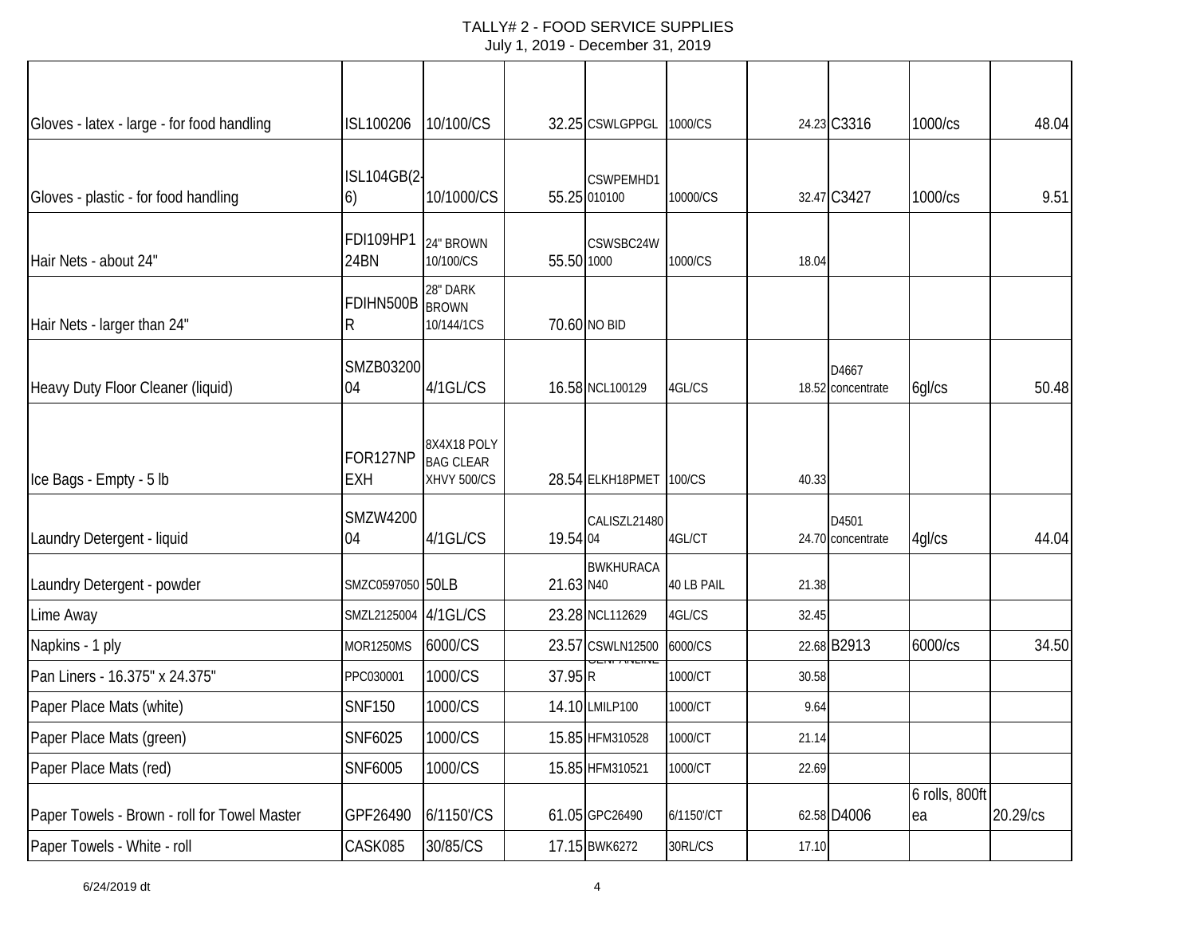| Gloves - latex - large - for food handling   | ISL100206                | 10/100/CS                                             |            | 32.25 CSWLGPPGL           | 1000/CS    |       | 24.23 C3316                | 1000/cs              | 48.04    |
|----------------------------------------------|--------------------------|-------------------------------------------------------|------------|---------------------------|------------|-------|----------------------------|----------------------|----------|
| Gloves - plastic - for food handling         | <b>ISL104GB(2-</b><br>6) | 10/1000/CS                                            |            | CSWPEMHD1<br>55.25 010100 | 10000/CS   |       | 32.47 C3427                | 1000/cs              | 9.51     |
| Hair Nets - about 24"                        | FDI109HP1<br>24BN        | 24" BROWN<br>10/100/CS                                | 55.50 1000 | CSWSBC24W                 | 1000/CS    | 18.04 |                            |                      |          |
| Hair Nets - larger than 24"                  | FDIHN500B<br>R           | 28" DARK<br><b>BROWN</b><br>10/144/1CS                |            | 70.60 NO BID              |            |       |                            |                      |          |
| Heavy Duty Floor Cleaner (liquid)            | SMZB03200<br>04          | 4/1GL/CS                                              |            | 16.58 NCL100129           | 4GL/CS     |       | D4667<br>18.52 concentrate | 6gl/cs               | 50.48    |
| Ice Bags - Empty - 5 lb                      | FOR127NP<br><b>EXH</b>   | 8X4X18 POLY<br><b>BAG CLEAR</b><br><b>XHVY 500/CS</b> |            | 28.54 ELKH18PMET          | 100/CS     | 40.33 |                            |                      |          |
| Laundry Detergent - liquid                   | <b>SMZW4200</b><br>04    | 4/1GL/CS                                              | 19.54 04   | CALISZL21480              | 4GL/CT     |       | D4501<br>24.70 concentrate | 4gl/cs               | 44.04    |
| Laundry Detergent - powder                   | SMZC0597050 50LB         |                                                       | 21.63 N40  | <b>BWKHURACA</b>          | 40 LB PAIL | 21.38 |                            |                      |          |
| Lime Away                                    | SMZL2125004 4/1GL/CS     |                                                       |            | 23.28 NCL112629           | 4GL/CS     | 32.45 |                            |                      |          |
| Napkins - 1 ply                              | <b>MOR1250MS</b>         | 6000/CS                                               |            | 23.57 CSWLN12500          | 6000/CS    |       | 22.68 B2913                | 6000/cs              | 34.50    |
| Pan Liners - 16.375" x 24.375"               | PPC030001                | 1000/CS                                               | 37.95 R    | 11 7 11 11 11 11 11       | 1000/CT    | 30.58 |                            |                      |          |
| Paper Place Mats (white)                     | <b>SNF150</b>            | 1000/CS                                               |            | 14.10 LMILP100            | 1000/CT    | 9.64  |                            |                      |          |
| Paper Place Mats (green)                     | SNF6025                  | 1000/CS                                               |            | 15.85 HFM310528           | 1000/CT    | 21.14 |                            |                      |          |
| Paper Place Mats (red)                       | SNF6005                  | 1000/CS                                               |            | 15.85 HFM310521           | 1000/CT    | 22.69 |                            |                      |          |
| Paper Towels - Brown - roll for Towel Master | GPF26490                 | 6/1150'/CS                                            |            | 61.05 GPC26490            | 6/1150'/CT |       | 62.58 D4006                | 6 rolls, 800ft<br>ea | 20.29/cs |
| Paper Towels - White - roll                  | CASK085                  | 30/85/CS                                              |            | 17.15 BWK6272             | 30RL/CS    | 17.10 |                            |                      |          |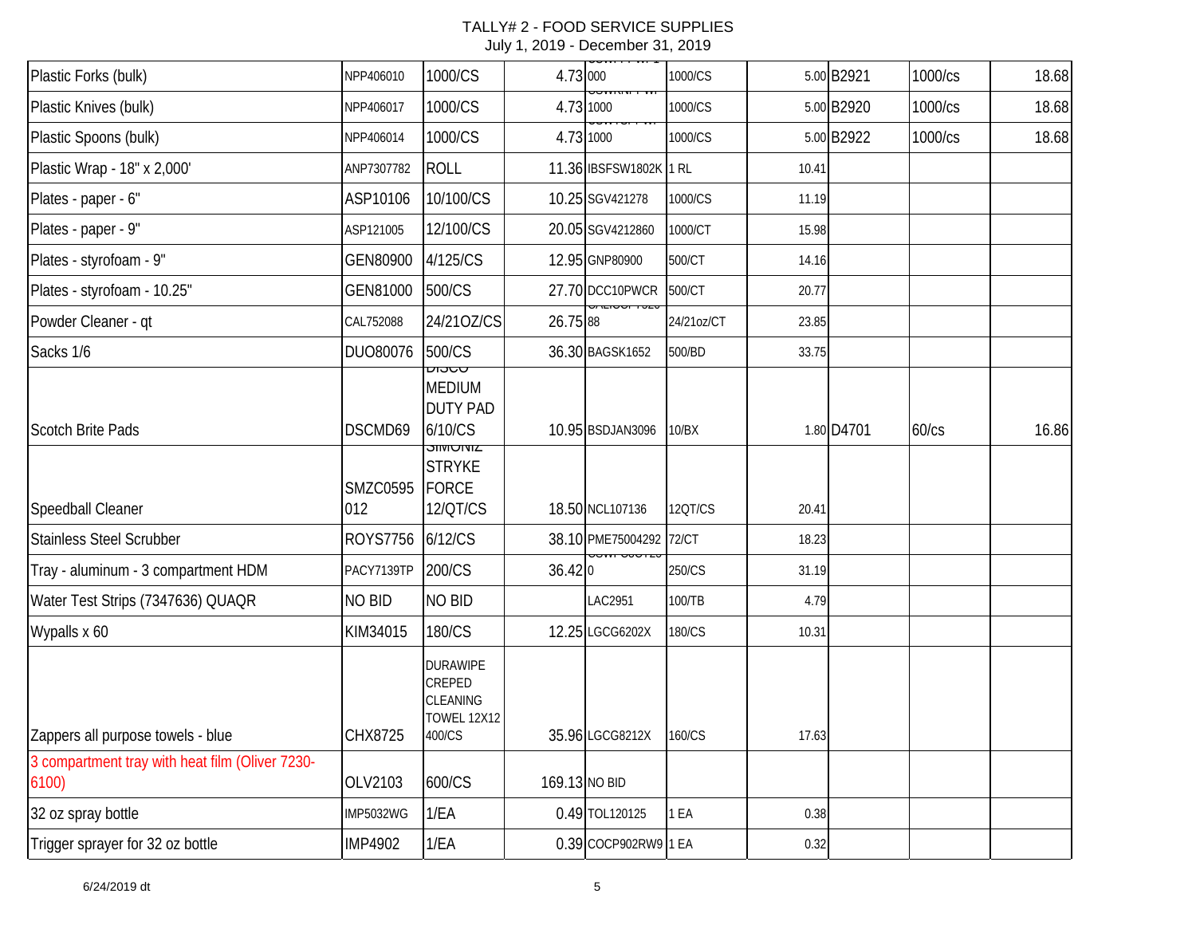| Plastic Forks (bulk)                            | NPP406010              | 1000/CS                                                                  | 4.73 000 | <del>, ,,,,,,,,,,</del>                           | 1000/CS    |       | 5.00 B2921 | 1000/cs | 18.68 |
|-------------------------------------------------|------------------------|--------------------------------------------------------------------------|----------|---------------------------------------------------|------------|-------|------------|---------|-------|
| Plastic Knives (bulk)                           | NPP406017              | 1000/CS                                                                  |          | <u>יטע דעמיטער</u><br>4.73 1000                   | 1000/CS    |       | 5.00 B2920 | 1000/cs | 18.68 |
| Plastic Spoons (bulk)                           | NPP406014              | 1000/CS                                                                  |          | 4.73 1000                                         | 1000/CS    |       | 5.00 B2922 | 1000/cs | 18.68 |
| Plastic Wrap - 18" x 2,000'                     | ANP7307782             | <b>ROLL</b>                                                              |          | 11.36 IBSFSW1802K 1 RL                            |            | 10.41 |            |         |       |
| Plates - paper - 6"                             | ASP10106               | 10/100/CS                                                                |          | 10.25 SGV421278                                   | 1000/CS    | 11.19 |            |         |       |
| Plates - paper - 9"                             | ASP121005              | 12/100/CS                                                                |          | 20.05 SGV4212860                                  | 1000/CT    | 15.98 |            |         |       |
| Plates - styrofoam - 9"                         | GEN80900               | 4/125/CS                                                                 |          | 12.95 GNP80900                                    | 500/CT     | 14.16 |            |         |       |
| Plates - styrofoam - 10.25"                     | GEN81000               | 500/CS                                                                   |          | 27.70 DCC10PWCR                                   | 500/CT     | 20.77 |            |         |       |
| Powder Cleaner - qt                             | CAL752088              | 24/210Z/CS                                                               | 26.75 88 | <del>unciour 7020</del>                           | 24/21oz/CT | 23.85 |            |         |       |
| Sacks 1/6                                       | DUO80076               | 500/CS                                                                   |          | 36.30 BAGSK1652                                   | 500/BD     | 33.75 |            |         |       |
| Scotch Brite Pads                               | DSCMD69                | มาว⊂∩<br><b>MEDIUM</b><br><b>DUTY PAD</b><br>6/10/CS<br><b>STIVIUTIL</b> |          | 10.95 BSDJAN3096                                  | 10/BX      |       | 1.80 D4701 | 60/cs   | 16.86 |
| Speedball Cleaner                               | <b>SMZC0595</b><br>012 | <b>STRYKE</b><br><b>FORCE</b><br>12/QT/CS                                |          | 18.50 NCL107136                                   | 12QT/CS    | 20.41 |            |         |       |
| <b>Stainless Steel Scrubber</b>                 | <b>ROYS7756</b>        | 6/12/CS                                                                  |          | 38.10 PME75004292 72/CT<br><del>JUNT UJUTZU</del> |            | 18.23 |            |         |       |
| Tray - aluminum - 3 compartment HDM             | PACY7139TP             | 200/CS                                                                   | 36.420   |                                                   | 250/CS     | 31.19 |            |         |       |
| Water Test Strips (7347636) QUAQR               | NO BID                 | NO BID                                                                   |          | LAC2951                                           | 100/TB     | 4.79  |            |         |       |
| Wypalls x 60                                    | KIM34015               | 180/CS                                                                   |          | 12.25 LGCG6202X                                   | 180/CS     | 10.31 |            |         |       |
| Zappers all purpose towels - blue               | CHX8725                | <b>DURAWIPE</b><br>CREPED<br>CLEANING<br><b>TOWEL 12X12</b><br>400/CS    |          | 35.96 LGCG8212X                                   | 160/CS     | 17.63 |            |         |       |
| 3 compartment tray with heat film (Oliver 7230- |                        |                                                                          |          |                                                   |            |       |            |         |       |
| 6100                                            | OLV2103                | 600/CS                                                                   |          | 169.13 NO BID                                     |            |       |            |         |       |
| 32 oz spray bottle                              | <b>IMP5032WG</b>       | 1/EA                                                                     |          | 0.49 TOL120125                                    | 1 EA       | 0.38  |            |         |       |
| Trigger sprayer for 32 oz bottle                | <b>IMP4902</b>         | 1/EA                                                                     |          | 0.39 COCP902RW9 1 EA                              |            | 0.32  |            |         |       |